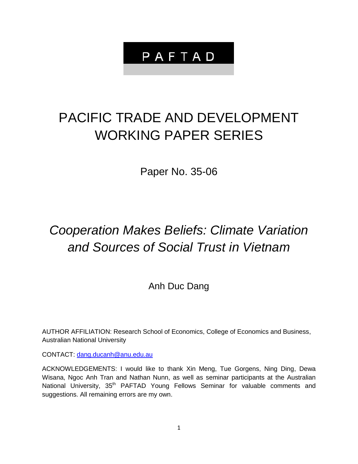# PAFTAD

# PACIFIC TRADE AND DEVELOPMENT WORKING PAPER SERIES

Paper No. 35-06

# *Cooperation Makes Beliefs: Climate Variation and Sources of Social Trust in Vietnam*

Anh Duc Dang

AUTHOR AFFILIATION: Research School of Economics, College of Economics and Business, Australian National University

CONTACT: [dang.ducanh@anu.edu.au](mailto:dang.ducanh@anu.edu.au)

ACKNOWLEDGEMENTS: I would like to thank Xin Meng, Tue Gorgens, Ning Ding, Dewa Wisana, Ngoc Anh Tran and Nathan Nunn, as well as seminar participants at the Australian National University, 35<sup>th</sup> PAFTAD Young Fellows Seminar for valuable comments and suggestions. All remaining errors are my own.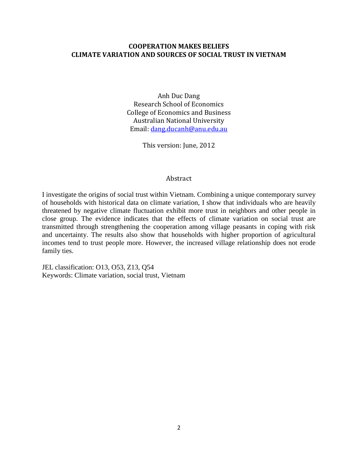## **COOPERATION MAKES BELIEFS CLIMATE VARIATION AND SOURCES OF SOCIAL TRUST IN VIETNAM**

Anh Duc Dang Research School of Economics College of Economics and Business Australian National University Email[: dang.ducanh@anu.edu.au](mailto:dang.ducanh@anu.edu.au)

This version: June, 2012

#### Abstract

I investigate the origins of social trust within Vietnam. Combining a unique contemporary survey of households with historical data on climate variation, I show that individuals who are heavily threatened by negative climate fluctuation exhibit more trust in neighbors and other people in close group. The evidence indicates that the effects of climate variation on social trust are transmitted through strengthening the cooperation among village peasants in coping with risk and uncertainty. The results also show that households with higher proportion of agricultural incomes tend to trust people more. However, the increased village relationship does not erode family ties.

JEL classification: O13, O53, Z13, Q54 Keywords: Climate variation, social trust, Vietnam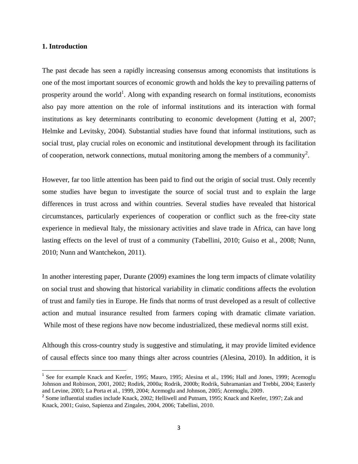#### **1. Introduction**

 $\overline{\phantom{a}}$ 

The past decade has seen a rapidly increasing consensus among economists that institutions is one of the most important sources of economic growth and holds the key to prevailing patterns of prosperity around the world<sup>1</sup>. Along with expanding research on formal institutions, economists also pay more attention on the role of informal institutions and its interaction with formal institutions as key determinants contributing to economic development (Jutting et al, 2007; Helmke and Levitsky, 2004). Substantial studies have found that informal institutions, such as social trust, play crucial roles on economic and institutional development through its facilitation of cooperation, network connections, mutual monitoring among the members of a community<sup>2</sup>.

However, far too little attention has been paid to find out the origin of social trust. Only recently some studies have begun to investigate the source of social trust and to explain the large differences in trust across and within countries. Several studies have revealed that historical circumstances, particularly experiences of cooperation or conflict such as the free-city state experience in medieval Italy, the missionary activities and slave trade in Africa, can have long lasting effects on the level of trust of a community (Tabellini, 2010; Guiso et al., 2008; Nunn, 2010; Nunn and Wantchekon, 2011).

In another interesting paper, Durante (2009) examines the long term impacts of climate volatility on social trust and showing that historical variability in climatic conditions affects the evolution of trust and family ties in Europe. He finds that norms of trust developed as a result of collective action and mutual insurance resulted from farmers coping with dramatic climate variation. While most of these regions have now become industrialized, these medieval norms still exist.

Although this cross-country study is suggestive and stimulating, it may provide limited evidence of causal effects since too many things alter across countries (Alesina, 2010). In addition, it is

<sup>&</sup>lt;sup>1</sup> See for example Knack and Keefer, 1995; Mauro, 1995; Alesina et al., 1996; Hall and Jones, 1999; Acemoglu Johnson and Robinson, 2001, 2002; Rodirk, 2000a; Rodrik, 2000b; Rodrik, Subramanian and Trebbi, 2004; Easterly and Levine, 2003; La Porta et al., 1999, 2004; Acemoglu and Johnson, 2005; Acemoglu, 2009.

<sup>&</sup>lt;sup>2</sup> Some influential studies include Knack, 2002; Helliwell and Putnam, 1995; Knack and Keefer, 1997; Zak and Knack, 2001; Guiso, Sapienza and Zingales, 2004, 2006; Tabellini, 2010.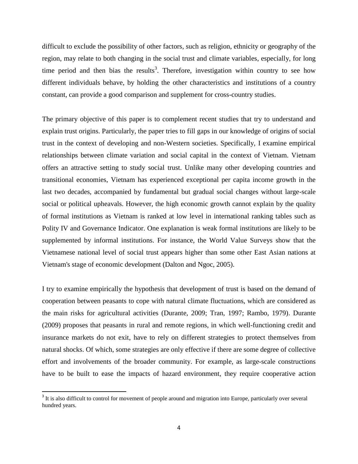difficult to exclude the possibility of other factors, such as religion, ethnicity or geography of the region, may relate to both changing in the social trust and climate variables, especially, for long time period and then bias the results<sup>3</sup>. Therefore, investigation within country to see how different individuals behave, by holding the other characteristics and institutions of a country constant, can provide a good comparison and supplement for cross-country studies.

The primary objective of this paper is to complement recent studies that try to understand and explain trust origins. Particularly, the paper tries to fill gaps in our knowledge of origins of social trust in the context of developing and non-Western societies. Specifically, I examine empirical relationships between climate variation and social capital in the context of Vietnam. Vietnam offers an attractive setting to study social trust. Unlike many other developing countries and transitional economies, Vietnam has experienced exceptional per capita income growth in the last two decades, accompanied by fundamental but gradual social changes without large-scale social or political upheavals. However, the high economic growth cannot explain by the quality of formal institutions as Vietnam is ranked at low level in international ranking tables such as Polity IV and Governance Indicator. One explanation is weak formal institutions are likely to be supplemented by informal institutions. For instance, the World Value Surveys show that the Vietnamese national level of social trust appears higher than some other East Asian nations at Vietnam's stage of economic development (Dalton and Ngoc, 2005).

I try to examine empirically the hypothesis that development of trust is based on the demand of cooperation between peasants to cope with natural climate fluctuations, which are considered as the main risks for agricultural activities (Durante, 2009; Tran, 1997; Rambo, 1979). Durante (2009) proposes that peasants in rural and remote regions, in which well-functioning credit and insurance markets do not exit, have to rely on different strategies to protect themselves from natural shocks. Of which, some strategies are only effective if there are some degree of collective effort and involvements of the broader community. For example, as large-scale constructions have to be built to ease the impacts of hazard environment, they require cooperative action

l

 $3$  It is also difficult to control for movement of people around and migration into Europe, particularly over several hundred years.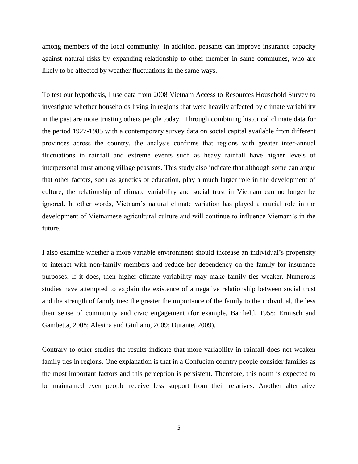among members of the local community. In addition, peasants can improve insurance capacity against natural risks by expanding relationship to other member in same communes, who are likely to be affected by weather fluctuations in the same ways.

To test our hypothesis, I use data from 2008 Vietnam Access to Resources Household Survey to investigate whether households living in regions that were heavily affected by climate variability in the past are more trusting others people today. Through combining historical climate data for the period 1927-1985 with a contemporary survey data on social capital available from different provinces across the country, the analysis confirms that regions with greater inter-annual fluctuations in rainfall and extreme events such as heavy rainfall have higher levels of interpersonal trust among village peasants. This study also indicate that although some can argue that other factors, such as genetics or education, play a much larger role in the development of culture, the relationship of climate variability and social trust in Vietnam can no longer be ignored. In other words, Vietnam"s natural climate variation has played a crucial role in the development of Vietnamese agricultural culture and will continue to influence Vietnam"s in the future.

I also examine whether a more variable environment should increase an individual"s propensity to interact with non-family members and reduce her dependency on the family for insurance purposes. If it does, then higher climate variability may make family ties weaker. Numerous studies have attempted to explain the existence of a negative relationship between social trust and the strength of family ties: the greater the importance of the family to the individual, the less their sense of community and civic engagement (for example, Banfield, 1958; Ermisch and Gambetta, 2008; Alesina and Giuliano, 2009; Durante, 2009).

Contrary to other studies the results indicate that more variability in rainfall does not weaken family ties in regions. One explanation is that in a Confucian country people consider families as the most important factors and this perception is persistent. Therefore, this norm is expected to be maintained even people receive less support from their relatives. Another alternative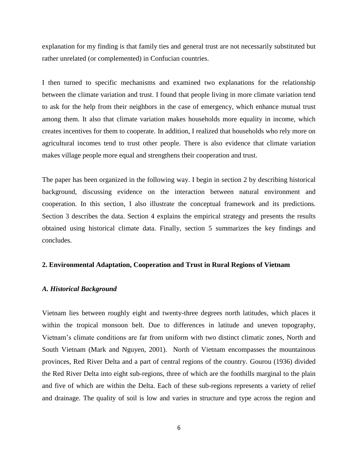explanation for my finding is that family ties and general trust are not necessarily substituted but rather unrelated (or complemented) in Confucian countries.

I then turned to specific mechanisms and examined two explanations for the relationship between the climate variation and trust. I found that people living in more climate variation tend to ask for the help from their neighbors in the case of emergency, which enhance mutual trust among them. It also that climate variation makes households more equality in income, which creates incentives for them to cooperate. In addition, I realized that households who rely more on agricultural incomes tend to trust other people. There is also evidence that climate variation makes village people more equal and strengthens their cooperation and trust.

The paper has been organized in the following way. I begin in section 2 by describing historical background, discussing evidence on the interaction between natural environment and cooperation. In this section, I also illustrate the conceptual framework and its predictions. Section 3 describes the data. Section 4 explains the empirical strategy and presents the results obtained using historical climate data. Finally, section 5 summarizes the key findings and concludes.

#### **2. Environmental Adaptation, Cooperation and Trust in Rural Regions of Vietnam**

#### *A. Historical Background*

Vietnam lies between roughly eight and twenty-three degrees north latitudes, which places it within the tropical monsoon belt. Due to differences in latitude and uneven topography, Vietnam"s climate conditions are far from uniform with two distinct climatic zones, North and South Vietnam (Mark and Nguyen, 2001). North of Vietnam encompasses the mountainous provinces, Red River Delta and a part of central regions of the country. Gourou (1936) divided the Red River Delta into eight sub-regions, three of which are the foothills marginal to the plain and five of which are within the Delta. Each of these sub-regions represents a variety of relief and drainage. The quality of soil is low and varies in structure and type across the region and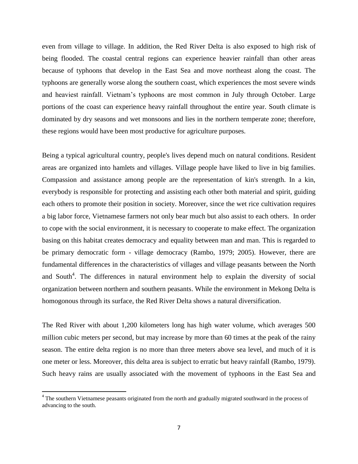even from village to village. In addition, the Red River Delta is also exposed to high risk of being flooded. The coastal central regions can experience heavier rainfall than other areas because of typhoons that develop in the East Sea and move northeast along the coast. The typhoons are generally worse along the southern coast, which experiences the most severe winds and heaviest rainfall. Vietnam"s typhoons are most common in July through October. Large portions of the coast can experience heavy rainfall throughout the entire year. South climate is dominated by dry seasons and wet monsoons and lies in the northern temperate zone; therefore, these regions would have been most productive for agriculture purposes.

Being a typical agricultural country, people's lives depend much on natural conditions. Resident areas are organized into hamlets and villages. Village people have liked to live in big families. Compassion and assistance among people are the representation of kin's strength. In a kin, everybody is responsible for protecting and assisting each other both material and spirit, guiding each others to promote their position in society. Moreover, since the wet rice cultivation requires a big labor force, Vietnamese farmers not only bear much but also assist to each others. In order to cope with the social environment, it is necessary to cooperate to make effect. The organization basing on this habitat creates democracy and equality between man and man. This is regarded to be primary democratic form - village democracy (Rambo, 1979; 2005). However, there are fundamental differences in the characteristics of villages and village peasants between the North and South<sup>4</sup>. The differences in natural environment help to explain the diversity of social organization between northern and southern peasants. While the environment in Mekong Delta is homogonous through its surface, the Red River Delta shows a natural diversification.

The Red River with about 1,200 kilometers long has high water volume, which averages 500 million cubic meters per second, but may increase by more than 60 times at the peak of the rainy season. The entire delta region is no more than three meters above sea level, and much of it is one meter or less. Moreover, this delta area is subject to erratic but heavy rainfall (Rambo, 1979). Such heavy rains are usually associated with the movement of typhoons in the East Sea and

l

<sup>&</sup>lt;sup>4</sup> The southern Vietnamese peasants originated from the north and gradually migrated southward in the process of advancing to the south.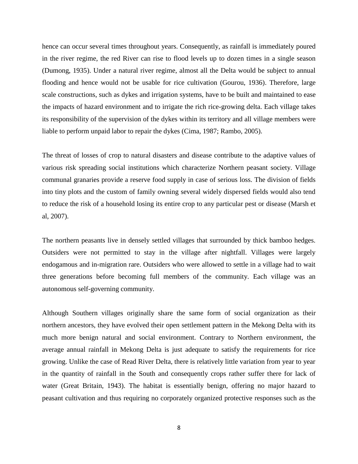hence can occur several times throughout years. Consequently, as rainfall is immediately poured in the river regime, the red River can rise to flood levels up to dozen times in a single season (Dumong, 1935). Under a natural river regime, almost all the Delta would be subject to annual flooding and hence would not be usable for rice cultivation (Gourou, 1936). Therefore, large scale constructions, such as dykes and irrigation systems, have to be built and maintained to ease the impacts of hazard environment and to irrigate the rich rice-growing delta. Each village takes its responsibility of the supervision of the dykes within its territory and all village members were liable to perform unpaid labor to repair the dykes (Cima, 1987; Rambo, 2005).

The threat of losses of crop to natural disasters and disease contribute to the adaptive values of various risk spreading social institutions which characterize Northern peasant society. Village communal granaries provide a reserve food supply in case of serious loss. The division of fields into tiny plots and the custom of family owning several widely dispersed fields would also tend to reduce the risk of a household losing its entire crop to any particular pest or disease (Marsh et al, 2007).

The northern peasants live in densely settled villages that surrounded by thick bamboo hedges. Outsiders were not permitted to stay in the village after nightfall. Villages were largely endogamous and in-migration rare. Outsiders who were allowed to settle in a village had to wait three generations before becoming full members of the community. Each village was an autonomous self-governing community.

Although Southern villages originally share the same form of social organization as their northern ancestors, they have evolved their open settlement pattern in the Mekong Delta with its much more benign natural and social environment. Contrary to Northern environment, the average annual rainfall in Mekong Delta is just adequate to satisfy the requirements for rice growing. Unlike the case of Read River Delta, there is relatively little variation from year to year in the quantity of rainfall in the South and consequently crops rather suffer there for lack of water (Great Britain, 1943). The habitat is essentially benign, offering no major hazard to peasant cultivation and thus requiring no corporately organized protective responses such as the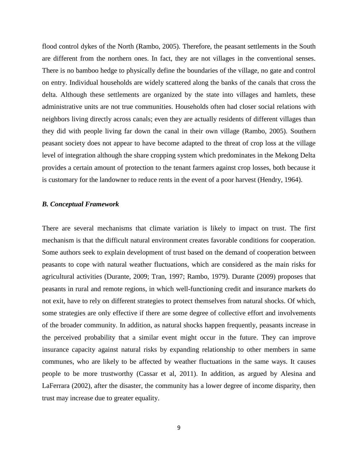flood control dykes of the North (Rambo, 2005). Therefore, the peasant settlements in the South are different from the northern ones. In fact, they are not villages in the conventional senses. There is no bamboo hedge to physically define the boundaries of the village, no gate and control on entry. Individual households are widely scattered along the banks of the canals that cross the delta. Although these settlements are organized by the state into villages and hamlets, these administrative units are not true communities. Households often had closer social relations with neighbors living directly across canals; even they are actually residents of different villages than they did with people living far down the canal in their own village (Rambo, 2005). Southern peasant society does not appear to have become adapted to the threat of crop loss at the village level of integration although the share cropping system which predominates in the Mekong Delta provides a certain amount of protection to the tenant farmers against crop losses, both because it is customary for the landowner to reduce rents in the event of a poor harvest (Hendry, 1964).

#### *B. Conceptual Framework*

There are several mechanisms that climate variation is likely to impact on trust. The first mechanism is that the difficult natural environment creates favorable conditions for cooperation. Some authors seek to explain development of trust based on the demand of cooperation between peasants to cope with natural weather fluctuations, which are considered as the main risks for agricultural activities (Durante, 2009; Tran, 1997; Rambo, 1979). Durante (2009) proposes that peasants in rural and remote regions, in which well-functioning credit and insurance markets do not exit, have to rely on different strategies to protect themselves from natural shocks. Of which, some strategies are only effective if there are some degree of collective effort and involvements of the broader community. In addition, as natural shocks happen frequently, peasants increase in the perceived probability that a similar event might occur in the future. They can improve insurance capacity against natural risks by expanding relationship to other members in same communes, who are likely to be affected by weather fluctuations in the same ways. It causes people to be more trustworthy (Cassar et al, 2011). In addition, as argued by Alesina and LaFerrara (2002), after the disaster, the community has a lower degree of income disparity, then trust may increase due to greater equality.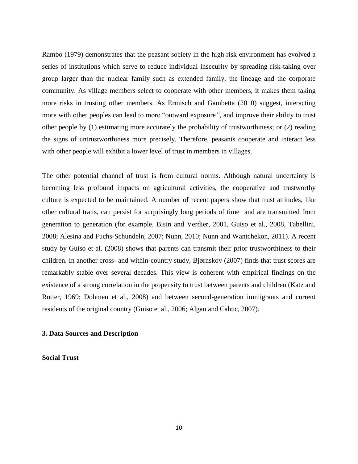Rambo (1979) demonstrates that the peasant society in the high risk environment has evolved a series of institutions which serve to reduce individual insecurity by spreading risk-taking over group larger than the nuclear family such as extended family, the lineage and the corporate community. As village members select to cooperate with other members, it makes them taking more risks in trusting other members. As Ermisch and Gambetta (2010) suggest, interacting more with other peoples can lead to more "outward exposure*"*, and improve their ability to trust other people by (1) estimating more accurately the probability of trustworthiness; or (2) reading the signs of untrustworthiness more precisely. Therefore, peasants cooperate and interact less with other people will exhibit a lower level of trust in members in villages.

The other potential channel of trust is from cultural norms. Although natural uncertainty is becoming less profound impacts on agricultural activities, the cooperative and trustworthy culture is expected to be maintained. A number of recent papers show that trust attitudes, like other cultural traits, can persist for surprisingly long periods of time and are transmitted from generation to generation (for example, Bisin and Verdier, 2001, Guiso et al., 2008, Tabellini, 2008; Alesina and Fuchs-Schundeln, 2007; Nunn, 2010; Nunn and Wantchekon, 2011). A recent study by Guiso et al. (2008) shows that parents can transmit their prior trustworthiness to their children. In another cross- and within-country study, Bjørnskov (2007) finds that trust scores are remarkably stable over several decades. This view is coherent with empirical findings on the existence of a strong correlation in the propensity to trust between parents and children (Katz and Rotter, 1969; Dohmen et al., 2008) and between second-generation immigrants and current residents of the original country (Guiso et al., 2006; Algan and Cahuc, 2007).

#### **3. Data Sources and Description**

**Social Trust**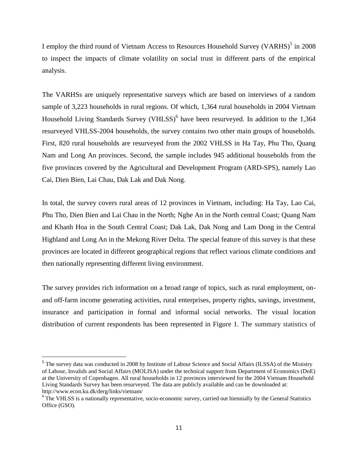I employ the third round of Vietnam Access to Resources Household Survey (VARHS)<sup>5</sup> in 2008 to inspect the impacts of climate volatility on social trust in different parts of the empirical analysis.

The VARHSs are uniquely representative surveys which are based on interviews of a random sample of 3,223 households in rural regions. Of which, 1,364 rural households in 2004 Vietnam Household Living Standards Survey (VHLSS)<sup>6</sup> have been resurveyed. In addition to the 1,364 resurveyed VHLSS-2004 households, the survey contains two other main groups of households. First, 820 rural households are resurveyed from the 2002 VHLSS in Ha Tay, Phu Tho, Quang Nam and Long An provinces. Second, the sample includes 945 additional households from the five provinces covered by the Agricultural and Development Program (ARD-SPS), namely Lao Cai, Dien Bien, Lai Chau, Dak Lak and Dak Nong.

In total, the survey covers rural areas of 12 provinces in Vietnam, including: Ha Tay, Lao Cai, Phu Tho, Dien Bien and Lai Chau in the North; Nghe An in the North central Coast; Quang Nam and Khanh Hoa in the South Central Coast; Dak Lak, Dak Nong and Lam Dong in the Central Highland and Long An in the Mekong River Delta. The special feature of this survey is that these provinces are located in different geographical regions that reflect various climate conditions and then nationally representing different living environment.

The survey provides rich information on a broad range of topics, such as rural employment, onand off-farm income generating activities, rural enterprises, property rights, savings, investment, insurance and participation in formal and informal social networks. The visual location distribution of current respondents has been represented in Figure 1. The summary statistics of

 $\overline{a}$ 

<sup>&</sup>lt;sup>5</sup> The survey data was conducted in 2008 by Institute of Labour Science and Social Affairs (ILSSA) of the Ministry of Labour, Invalids and Social Affairs (MOLISA) under the technical support from Department of Economics (DoE) at the University of Copenhagen. All rural households in 12 provinces interviewed for the 2004 Vietnam Household Living Standards Survey has been resurveyed. The data are publicly available and can be downloaded at: http://www.econ.ku.dk/derg/links/vietnam/

<sup>&</sup>lt;sup>6</sup> The VHLSS is a nationally representative, socio-economic survey, carried out biennially by the General Statistics Office (GSO).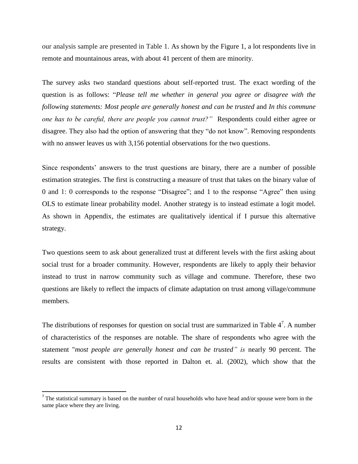our analysis sample are presented in Table 1. As shown by the Figure 1, a lot respondents live in remote and mountainous areas, with about 41 percent of them are minority.

The survey asks two standard questions about self-reported trust. The exact wording of the question is as follows: "*Please tell me whether in general you agree or disagree with the following statements: Most people are generally honest and can be trusted* and *In this commune one has to be careful, there are people you cannot trust?"* Respondents could either agree or disagree. They also had the option of answering that they "do not know". Removing respondents with no answer leaves us with 3,156 potential observations for the two questions.

Since respondents' answers to the trust questions are binary, there are a number of possible estimation strategies. The first is constructing a measure of trust that takes on the binary value of 0 and 1: 0 corresponds to the response "Disagree"; and 1 to the response "Agree" then using OLS to estimate linear probability model. Another strategy is to instead estimate a logit model. As shown in Appendix, the estimates are qualitatively identical if I pursue this alternative strategy.

Two questions seem to ask about generalized trust at different levels with the first asking about social trust for a broader community. However, respondents are likely to apply their behavior instead to trust in narrow community such as village and commune. Therefore, these two questions are likely to reflect the impacts of climate adaptation on trust among village/commune members.

The distributions of responses for question on social trust are summarized in Table  $4^7$ . A number of characteristics of the responses are notable. The share of respondents who agree with the statement "*most people are generally honest and can be trusted" is* nearly 90 percent. The results are consistent with those reported in Dalton et. al. (2002), which show that the

l

The statistical summary is based on the number of rural households who have head and/or spouse were born in the same place where they are living.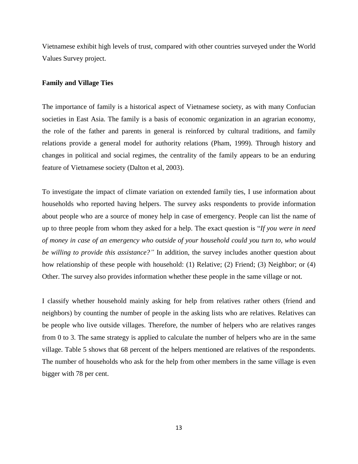Vietnamese exhibit high levels of trust, compared with other countries surveyed under the World Values Survey project.

#### **Family and Village Ties**

The importance of family is a historical aspect of Vietnamese society, as with many Confucian societies in East Asia. The family is a basis of economic organization in an agrarian economy, the role of the father and parents in general is reinforced by cultural traditions, and family relations provide a general model for authority relations (Pham, 1999). Through history and changes in political and social regimes, the centrality of the family appears to be an enduring feature of Vietnamese society (Dalton et al, 2003).

To investigate the impact of climate variation on extended family ties, I use information about households who reported having helpers. The survey asks respondents to provide information about people who are a source of money help in case of emergency. People can list the name of up to three people from whom they asked for a help. The exact question is "*If you were in need of money in case of an emergency who outside of your household could you turn to, who would be willing to provide this assistance?"* In addition, the survey includes another question about how relationship of these people with household: (1) Relative; (2) Friend; (3) Neighbor; or (4) Other. The survey also provides information whether these people in the same village or not.

I classify whether household mainly asking for help from relatives rather others (friend and neighbors) by counting the number of people in the asking lists who are relatives. Relatives can be people who live outside villages. Therefore, the number of helpers who are relatives ranges from 0 to 3. The same strategy is applied to calculate the number of helpers who are in the same village. Table 5 shows that 68 percent of the helpers mentioned are relatives of the respondents. The number of households who ask for the help from other members in the same village is even bigger with 78 per cent.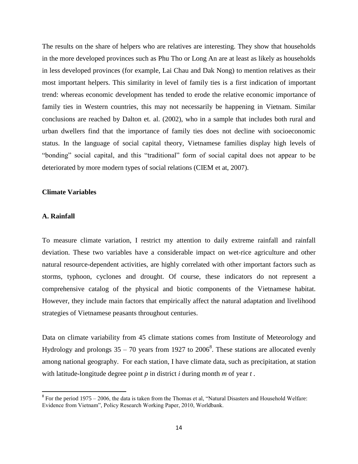The results on the share of helpers who are relatives are interesting. They show that households in the more developed provinces such as Phu Tho or Long An are at least as likely as households in less developed provinces (for example, Lai Chau and Dak Nong) to mention relatives as their most important helpers. This similarity in level of family ties is a first indication of important trend: whereas economic development has tended to erode the relative economic importance of family ties in Western countries, this may not necessarily be happening in Vietnam. Similar conclusions are reached by Dalton et. al. (2002), who in a sample that includes both rural and urban dwellers find that the importance of family ties does not decline with socioeconomic status. In the language of social capital theory, Vietnamese families display high levels of "bonding" social capital, and this "traditional" form of social capital does not appear to be deteriorated by more modern types of social relations (CIEM et at, 2007).

#### **Climate Variables**

#### **A. Rainfall**

l

To measure climate variation, I restrict my attention to daily extreme rainfall and rainfall deviation. These two variables have a considerable impact on wet-rice agriculture and other natural resource-dependent activities, are highly correlated with other important factors such as storms, typhoon, cyclones and drought. Of course, these indicators do not represent a comprehensive catalog of the physical and biotic components of the Vietnamese habitat. However, they include main factors that empirically affect the natural adaptation and livelihood strategies of Vietnamese peasants throughout centuries.

Data on climate variability from 45 climate stations comes from Institute of Meteorology and Hydrology and prolongs  $35 - 70$  years from 1927 to 2006<sup>8</sup>. These stations are allocated evenly among national geography. For each station, I have climate data, such as precipitation, at station with latitude-longitude degree point  $p$  in district  $i$  during month  $m$  of year  $t$ .

 $8$  For the period 1975 – 2006, the data is taken from the Thomas et al, "Natural Disasters and Household Welfare: Evidence from Vietnam", Policy Research Working Paper, 2010, Worldbank.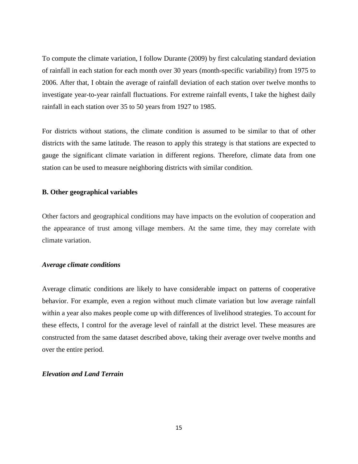To compute the climate variation, I follow Durante (2009) by first calculating standard deviation of rainfall in each station for each month over 30 years (month-specific variability) from 1975 to 2006. After that, I obtain the average of rainfall deviation of each station over twelve months to investigate year-to-year rainfall fluctuations. For extreme rainfall events, I take the highest daily rainfall in each station over 35 to 50 years from 1927 to 1985.

For districts without stations, the climate condition is assumed to be similar to that of other districts with the same latitude. The reason to apply this strategy is that stations are expected to gauge the significant climate variation in different regions. Therefore, climate data from one station can be used to measure neighboring districts with similar condition.

#### **B. Other geographical variables**

Other factors and geographical conditions may have impacts on the evolution of cooperation and the appearance of trust among village members. At the same time, they may correlate with climate variation.

#### *Average climate conditions*

Average climatic conditions are likely to have considerable impact on patterns of cooperative behavior. For example, even a region without much climate variation but low average rainfall within a year also makes people come up with differences of livelihood strategies. To account for these effects, I control for the average level of rainfall at the district level. These measures are constructed from the same dataset described above, taking their average over twelve months and over the entire period.

### *Elevation and Land Terrain*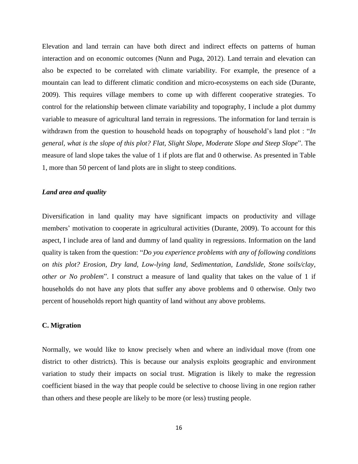Elevation and land terrain can have both direct and indirect effects on patterns of human interaction and on economic outcomes (Nunn and Puga, 2012). Land terrain and elevation can also be expected to be correlated with climate variability. For example, the presence of a mountain can lead to different climatic condition and micro-ecosystems on each side (Durante, 2009). This requires village members to come up with different cooperative strategies. To control for the relationship between climate variability and topography, I include a plot dummy variable to measure of agricultural land terrain in regressions. The information for land terrain is withdrawn from the question to household heads on topography of household's land plot : "*In general, what is the slope of this plot? Flat, Slight Slope, Moderate Slope and Steep Slope*". The measure of land slope takes the value of 1 if plots are flat and 0 otherwise. As presented in Table 1, more than 50 percent of land plots are in slight to steep conditions.

#### *Land area and quality*

Diversification in land quality may have significant impacts on productivity and village members' motivation to cooperate in agricultural activities (Durante, 2009). To account for this aspect, I include area of land and dummy of land quality in regressions. Information on the land quality is taken from the question: "*Do you experience problems with any of following conditions on this plot? Erosion, Dry land, Low-lying land, Sedimentation, Landslide, Stone soils/clay, other or No problem*". I construct a measure of land quality that takes on the value of 1 if households do not have any plots that suffer any above problems and 0 otherwise. Only two percent of households report high quantity of land without any above problems.

#### **C. Migration**

Normally, we would like to know precisely when and where an individual move (from one district to other districts). This is because our analysis exploits geographic and environment variation to study their impacts on social trust. Migration is likely to make the regression coefficient biased in the way that people could be selective to choose living in one region rather than others and these people are likely to be more (or less) trusting people.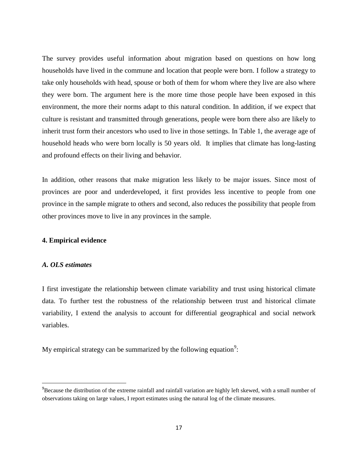The survey provides useful information about migration based on questions on how long households have lived in the commune and location that people were born. I follow a strategy to take only households with head, spouse or both of them for whom where they live are also where they were born. The argument here is the more time those people have been exposed in this environment, the more their norms adapt to this natural condition. In addition, if we expect that culture is resistant and transmitted through generations, people were born there also are likely to inherit trust form their ancestors who used to live in those settings. In Table 1, the average age of household heads who were born locally is 50 years old. It implies that climate has long-lasting and profound effects on their living and behavior.

In addition, other reasons that make migration less likely to be major issues. Since most of provinces are poor and underdeveloped, it first provides less incentive to people from one province in the sample migrate to others and second, also reduces the possibility that people from other provinces move to live in any provinces in the sample.

#### **4. Empirical evidence**

### *A. OLS estimates*

l

I first investigate the relationship between climate variability and trust using historical climate data. To further test the robustness of the relationship between trust and historical climate variability, I extend the analysis to account for differential geographical and social network variables.

My empirical strategy can be summarized by the following equation<sup>9</sup>:

<sup>&</sup>lt;sup>9</sup>Because the distribution of the extreme rainfall and rainfall variation are highly left skewed, with a small number of observations taking on large values, I report estimates using the natural log of the climate measures.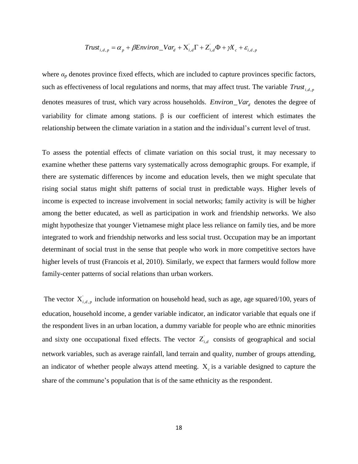$$
Trust_{i,d,p} = \alpha_p + \beta Environment_{i,d} + X'_{i,d} + X'_{i,d} + Z'_{i,d} + \gamma X_c + \varepsilon_{i,d,p}
$$

where  $a_p$  denotes province fixed effects, which are included to capture provinces specific factors, such as effectiveness of local regulations and norms, that may affect trust. The variable *Trust*<sub>*i,d,p*</sub> denotes measures of trust, which vary across households. *Environ*\_*Var<sup>d</sup>* denotes the degree of variability for climate among stations. β is our coefficient of interest which estimates the relationship between the climate variation in a station and the individual"s current level of trust.

To assess the potential effects of climate variation on this social trust, it may necessary to examine whether these patterns vary systematically across demographic groups. For example, if there are systematic differences by income and education levels, then we might speculate that rising social status might shift patterns of social trust in predictable ways. Higher levels of income is expected to increase involvement in social networks; family activity is will be higher among the better educated, as well as participation in work and friendship networks. We also might hypothesize that younger Vietnamese might place less reliance on family ties, and be more integrated to work and friendship networks and less social trust. Occupation may be an important determinant of social trust in the sense that people who work in more competitive sectors have higher levels of trust (Francois et al, 2010). Similarly, we expect that farmers would follow more family-center patterns of social relations than urban workers.

The vector  $X^i_{i,d,p}$  include information on household head, such as age, age squared/100, years of education, household income, a gender variable indicator, an indicator variable that equals one if the respondent lives in an urban location, a dummy variable for people who are ethnic minorities and sixty one occupational fixed effects. The vector  $Z_{i,d}$  consists of geographical and social network variables, such as average rainfall, land terrain and quality, number of groups attending, an indicator of whether people always attend meeting.  $X_c$  is a variable designed to capture the share of the commune's population that is of the same ethnicity as the respondent.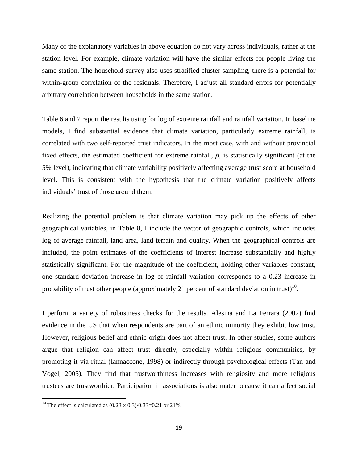Many of the explanatory variables in above equation do not vary across individuals, rather at the station level. For example, climate variation will have the similar effects for people living the same station. The household survey also uses stratified cluster sampling, there is a potential for within-group correlation of the residuals. Therefore, I adjust all standard errors for potentially arbitrary correlation between households in the same station.

Table 6 and 7 report the results using for log of extreme rainfall and rainfall variation. In baseline models, I find substantial evidence that climate variation, particularly extreme rainfall, is correlated with two self-reported trust indicators. In the most case, with and without provincial fixed effects, the estimated coefficient for extreme rainfall, *β*, is statistically significant (at the 5% level), indicating that climate variability positively affecting average trust score at household level. This is consistent with the hypothesis that the climate variation positively affects individuals" trust of those around them.

Realizing the potential problem is that climate variation may pick up the effects of other geographical variables, in Table 8, I include the vector of geographic controls, which includes log of average rainfall, land area, land terrain and quality. When the geographical controls are included, the point estimates of the coefficients of interest increase substantially and highly statistically significant. For the magnitude of the coefficient, holding other variables constant, one standard deviation increase in log of rainfall variation corresponds to a 0.23 increase in probability of trust other people (approximately 21 percent of standard deviation in trust)<sup>10</sup>.

I perform a variety of robustness checks for the results. Alesina and La Ferrara (2002) find evidence in the US that when respondents are part of an ethnic minority they exhibit low trust. However, religious belief and ethnic origin does not affect trust. In other studies, some authors argue that religion can affect trust directly, especially within religious communities, by promoting it via ritual (Iannaccone, 1998) or indirectly through psychological effects (Tan and Vogel, 2005). They find that trustworthiness increases with religiosity and more religious trustees are trustworthier. Participation in associations is also mater because it can affect social

 $\overline{a}$ 

<sup>&</sup>lt;sup>10</sup> The effect is calculated as  $(0.23 \times 0.3)/0.33=0.21$  or 21%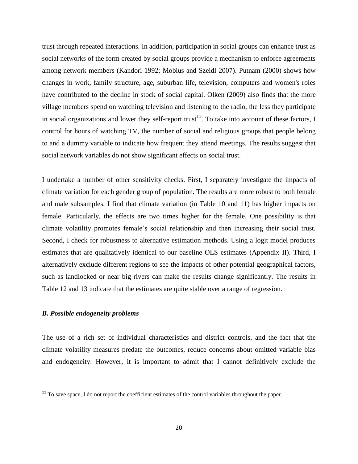trust through repeated interactions. In addition, participation in social groups can enhance trust as social networks of the form created by social groups provide a mechanism to enforce agreements among network members (Kandori 1992; Mobius and Szeidl 2007). Putnam (2000) shows how changes in work, family structure, age, suburban life, television, computers and women's roles have contributed to the decline in stock of social capital. Olken (2009) also finds that the more village members spend on watching television and listening to the radio, the less they participate in social organizations and lower they self-report trust<sup>11</sup>. To take into account of these factors, I control for hours of watching TV, the number of social and religious groups that people belong to and a dummy variable to indicate how frequent they attend meetings. The results suggest that social network variables do not show significant effects on social trust.

I undertake a number of other sensitivity checks. First, I separately investigate the impacts of climate variation for each gender group of population. The results are more robust to both female and male subsamples. I find that climate variation (in Table 10 and 11) has higher impacts on female. Particularly, the effects are two times higher for the female. One possibility is that climate volatility promotes female"s social relationship and then increasing their social trust. Second, I check for robustness to alternative estimation methods. Using a logit model produces estimates that are qualitatively identical to our baseline OLS estimates (Appendix II). Third, I alternatively exclude different regions to see the impacts of other potential geographical factors, such as landlocked or near big rivers can make the results change significantly. The results in Table 12 and 13 indicate that the estimates are quite stable over a range of regression.

## *B. Possible endogeneity problems*

 $\overline{\phantom{a}}$ 

The use of a rich set of individual characteristics and district controls, and the fact that the climate volatility measures predate the outcomes, reduce concerns about omitted variable bias and endogeneity. However, it is important to admit that I cannot definitively exclude the

 $11$  To save space, I do not report the coefficient estimates of the control variables throughout the paper.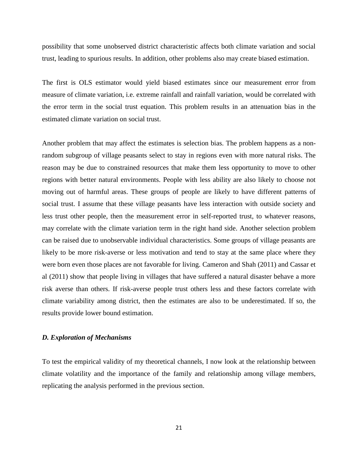possibility that some unobserved district characteristic affects both climate variation and social trust, leading to spurious results. In addition, other problems also may create biased estimation.

The first is OLS estimator would yield biased estimates since our measurement error from measure of climate variation, i.e. extreme rainfall and rainfall variation, would be correlated with the error term in the social trust equation. This problem results in an attenuation bias in the estimated climate variation on social trust.

Another problem that may affect the estimates is selection bias. The problem happens as a nonrandom subgroup of village peasants select to stay in regions even with more natural risks. The reason may be due to constrained resources that make them less opportunity to move to other regions with better natural environments. People with less ability are also likely to choose not moving out of harmful areas. These groups of people are likely to have different patterns of social trust. I assume that these village peasants have less interaction with outside society and less trust other people, then the measurement error in self-reported trust, to whatever reasons, may correlate with the climate variation term in the right hand side. Another selection problem can be raised due to unobservable individual characteristics. Some groups of village peasants are likely to be more risk-averse or less motivation and tend to stay at the same place where they were born even those places are not favorable for living. Cameron and Shah (2011) and Cassar et al (2011) show that people living in villages that have suffered a natural disaster behave a more risk averse than others. If risk-averse people trust others less and these factors correlate with climate variability among district, then the estimates are also to be underestimated. If so, the results provide lower bound estimation.

#### *D. Exploration of Mechanisms*

To test the empirical validity of my theoretical channels, I now look at the relationship between climate volatility and the importance of the family and relationship among village members, replicating the analysis performed in the previous section.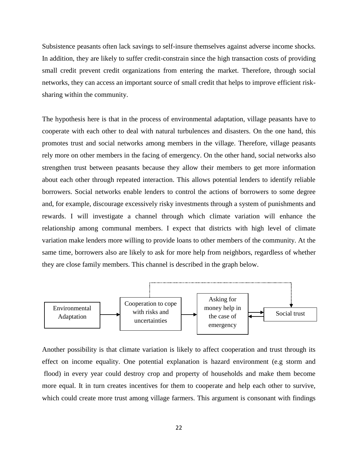Subsistence peasants often lack savings to self-insure themselves against adverse income shocks. In addition, they are likely to suffer credit-constrain since the high transaction costs of providing small credit prevent credit organizations from entering the market. Therefore, through social networks, they can access an important source of small credit that helps to improve efficient risksharing within the community.

The hypothesis here is that in the process of environmental adaptation, village peasants have to cooperate with each other to deal with natural turbulences and disasters. On the one hand, this promotes trust and social networks among members in the village. Therefore, village peasants rely more on other members in the facing of emergency. On the other hand, social networks also strengthen trust between peasants because they allow their members to get more information about each other through repeated interaction. This allows potential lenders to identify reliable borrowers. Social networks enable lenders to control the actions of borrowers to some degree and, for example, discourage excessively risky investments through a system of punishments and rewards. I will investigate a channel through which climate variation will enhance the relationship among communal members. I expect that districts with high level of climate variation make lenders more willing to provide loans to other members of the community. At the same time, borrowers also are likely to ask for more help from neighbors, regardless of whether they are close family members. This channel is described in the graph below.



Another possibility is that climate variation is likely to affect cooperation and trust through its effect on income equality. One potential explanation is hazard environment (e.g storm and flood) in every year could destroy crop and property of households and make them become more equal. It in turn creates incentives for them to cooperate and help each other to survive, which could create more trust among village farmers. This argument is consonant with findings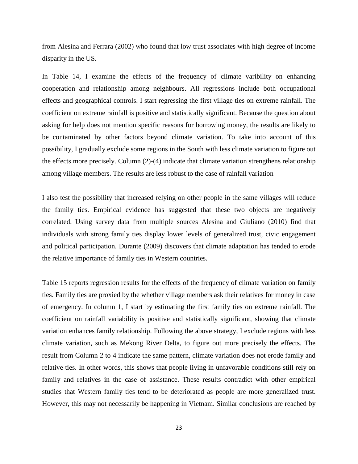from Alesina and Ferrara (2002) who found that low trust associates with high degree of income disparity in the US.

In Table 14, I examine the effects of the frequency of climate varibility on enhancing cooperation and relationship among neighbours. All regressions include both occupational effects and geographical controls. I start regressing the first village ties on extreme rainfall. The coefficient on extreme rainfall is positive and statistically significant. Because the question about asking for help does not mention specific reasons for borrowing money, the results are likely to be contaminated by other factors beyond climate variation. To take into account of this possibility, I gradually exclude some regions in the South with less climate variation to figure out the effects more precisely. Column (2)-(4) indicate that climate variation strengthens relationship among village members. The results are less robust to the case of rainfall variation

I also test the possibility that increased relying on other people in the same villages will reduce the family ties. Empirical evidence has suggested that these two objects are negatively correlated. Using survey data from multiple sources Alesina and Giuliano (2010) find that individuals with strong family ties display lower levels of generalized trust, civic engagement and political participation. Durante (2009) discovers that climate adaptation has tended to erode the relative importance of family ties in Western countries.

Table 15 reports regression results for the effects of the frequency of climate variation on family ties. Family ties are proxied by the whether village members ask their relatives for money in case of emergency. In column 1, I start by estimating the first family ties on extreme rainfall. The coefficient on rainfall variability is positive and statistically significant, showing that climate variation enhances family relationship. Following the above strategy, I exclude regions with less climate variation, such as Mekong River Delta, to figure out more precisely the effects. The result from Column 2 to 4 indicate the same pattern, climate variation does not erode family and relative ties. In other words, this shows that people living in unfavorable conditions still rely on family and relatives in the case of assistance. These results contradict with other empirical studies that Western family ties tend to be deteriorated as people are more generalized trust. However, this may not necessarily be happening in Vietnam. Similar conclusions are reached by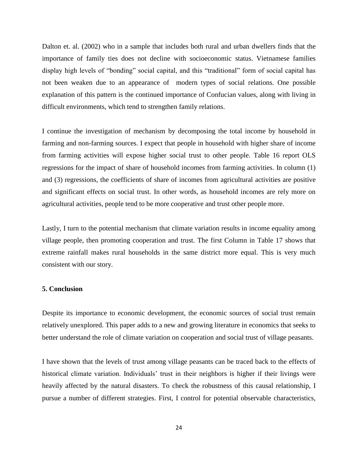Dalton et. al. (2002) who in a sample that includes both rural and urban dwellers finds that the importance of family ties does not decline with socioeconomic status. Vietnamese families display high levels of "bonding" social capital, and this "traditional" form of social capital has not been weaken due to an appearance of modern types of social relations. One possible explanation of this pattern is the continued importance of Confucian values, along with living in difficult environments, which tend to strengthen family relations.

I continue the investigation of mechanism by decomposing the total income by household in farming and non-farming sources. I expect that people in household with higher share of income from farming activities will expose higher social trust to other people. Table 16 report OLS regressions for the impact of share of household incomes from farming activities. In column (1) and (3) regressions, the coefficients of share of incomes from agricultural activities are positive and significant effects on social trust. In other words, as household incomes are rely more on agricultural activities, people tend to be more cooperative and trust other people more.

Lastly, I turn to the potential mechanism that climate variation results in income equality among village people, then promoting cooperation and trust. The first Column in Table 17 shows that extreme rainfall makes rural households in the same district more equal. This is very much consistent with our story.

#### **5. Conclusion**

Despite its importance to economic development, the economic sources of social trust remain relatively unexplored. This paper adds to a new and growing literature in economics that seeks to better understand the role of climate variation on cooperation and social trust of village peasants.

I have shown that the levels of trust among village peasants can be traced back to the effects of historical climate variation. Individuals' trust in their neighbors is higher if their livings were heavily affected by the natural disasters. To check the robustness of this causal relationship, I pursue a number of different strategies. First, I control for potential observable characteristics,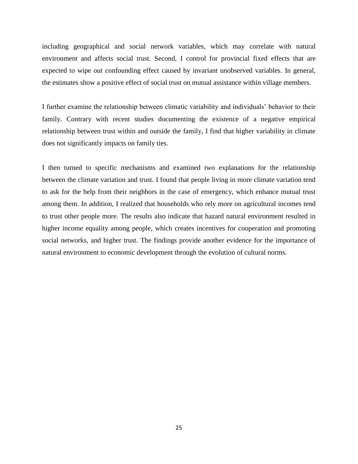including geographical and social network variables, which may correlate with natural environment and affects social trust. Second, I control for provincial fixed effects that are expected to wipe out confounding effect caused by invariant unobserved variables. In general, the estimates show a positive effect of social trust on mutual assistance within village members.

I further examine the relationship between climatic variability and individuals" behavior to their family. Contrary with recent studies documenting the existence of a negative empirical relationship between trust within and outside the family, I find that higher variability in climate does not significantly impacts on family ties.

I then turned to specific mechanisms and examined two explanations for the relationship between the climate variation and trust. I found that people living in more climate variation tend to ask for the help from their neighbors in the case of emergency, which enhance mutual trust among them. In addition, I realized that households who rely more on agricultural incomes tend to trust other people more. The results also indicate that hazard natural environment resulted in higher income equality among people, which creates incentives for cooperation and promoting social networks, and higher trust. The findings provide another evidence for the importance of natural environment to economic development through the evolution of cultural norms.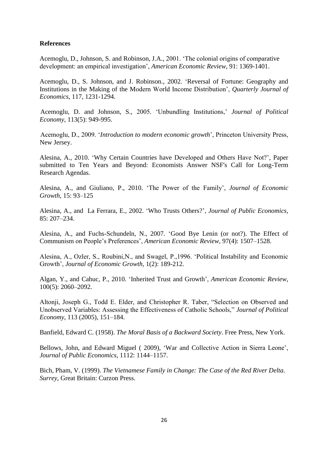#### **References**

Acemoglu, D., Johnson, S. and Robinson, J.A., 2001. "The colonial origins of comparative development: an empirical investigation", *American Economic Review*, 91: 1369-1401.

Acemoglu, D., S. Johnson, and J. Robinson., 2002. "Reversal of Fortune: Geography and Institutions in the Making of the Modern World Income Distribution", *Quarterly Journal of Economics*, 117, 1231-1294.

Acemoglu, D. and Johnson, S., 2005. "Unbundling Institutions," *Journal of Political Economy*, 113(5): 949-995.

Acemoglu, D., 2009. "*Introduction to modern economic growth*", Princeton University Press, New Jersey.

Alesina, A., 2010. "Why Certain Countries have Developed and Others Have Not?", Paper submitted to Ten Years and Beyond: Economists Answer NSF's Call for Long-Term Research Agendas.

Alesina, A., and Giuliano, P., 2010. "The Power of the Family", *Journal of Economic Growth*, 15: 93–125

Alesina, A., and La Ferrara, E., 2002. "Who Trusts Others?", *Journal of Public Economics*, 85: 207–234.

Alesina, A., and Fuchs-Schundeln, N., 2007. "Good Bye Lenin (or not?). The Effect of Communism on People"s Preferences", *American Economic Review*, 97(4): 1507–1528.

Alesina, A., Ozler, S., Roubini,N., and Swagel, P.,1996. "Political Instability and Economic Growth", *Journal of Economic Growth,* 1(2): 189-212.

Algan, Y., and Cahuc, P., 2010. "Inherited Trust and Growth", *American Economic Review*, 100(5): 2060–2092.

Altonji, Joseph G., Todd E. Elder, and Christopher R. Taber, "Selection on Observed and Unobserved Variables: Assessing the Effectiveness of Catholic Schools," *Journal of Political Economy*, 113 (2005), 151–184.

Banfield, Edward C. (1958). *The Moral Basis of a Backward Society*. Free Press, New York.

Bellows, John, and Edward Miguel ( 2009), "War and Collective Action in Sierra Leone", *Journal of Public Economics*, 1112: 1144–1157.

Bich, Pham, V. (1999). *The Vietnamese Family in Change: The Case of the Red River Delta. Surrey*, Great Britain: Curzon Press.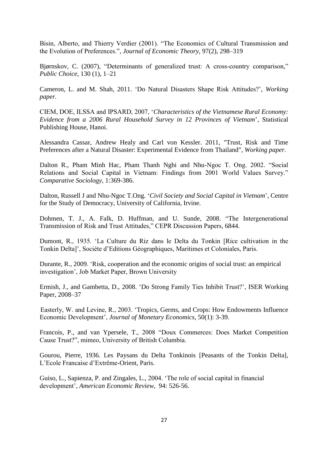Bisin, Alberto, and Thierry Verdier (2001). "The Economics of Cultural Transmission and the Evolution of Preferences.", *Journal of Economic Theory*, 97(2), 298–319

Bjørnskov, C. (2007), "Determinants of generalized trust: A cross-country comparison," *Public Choice*, 130 (1), 1–21

Cameron, L. and M. Shah, 2011. "Do Natural Disasters Shape Risk Attitudes?", *Working paper.*

CIEM, DOE, ILSSA and IPSARD, 2007, "*Characteristics of the Vietnamese Rural Economy: Evidence from a 2006 Rural Household Survey in 12 Provinces of Vietnam*", Statistical Publishing House, Hanoi.

Alessandra Cassar, Andrew Healy and Carl von Kessler. 2011, "Trust, Risk and Time Preferences after a Natural Disaster: Experimental Evidence from Thailand", *Working paper.*

Dalton R., Pham Minh Hac, Pham Thanh Nghi and Nhu-Ngoc T. Ong. 2002. "Social Relations and Social Capital in Vietnam: Findings from 2001 World Values Survey." *Comparative Sociology,* 1:369-386.

Dalton, Russell J and Nhu-Ngoc T.Ong. "*Civil Society and Social Capital in Vietnam*", Centre for the Study of Democracy, University of California, Irvine.

Dohmen, T. J., A. Falk, D. Huffman, and U. Sunde, 2008. "The Intergenerational Transmission of Risk and Trust Attitudes," CEPR Discussion Papers, 6844.

Dumont, R., 1935. "La Culture du Riz dans le Delta du Tonkin [Rice cultivation in the Tonkin Delta]", Sociéte d"Editions Géographiques, Maritimes et Coloniales, Paris.

Durante, R., 2009. "Risk, cooperation and the economic origins of social trust: an empirical investigation", Job Market Paper, Brown University

Ermish, J., and Gambetta, D., 2008. "Do Strong Family Ties Inhibit Trust?", ISER Working Paper, 2008–37

Easterly, W. and Levine, R., 2003. "Tropics, Germs, and Crops: How Endowments Influence Economic Development", *Journal of Monetary Economics*, 50(1): 3-39.

Francois, P., and van Ypersele, T., 2008 "Doux Commerces: Does Market Competition Cause Trust?", mimeo, University of British Columbia.

Gourou, Pierre, 1936. Les Paysans du Delta Tonkinois [Peasants of the Tonkin Delta], L"Ecole Francaise d"Extrême-Orient, Paris.

Guiso, L., Sapienza, P. and Zingales, L., 2004. "The role of social capital in financial development", *American Economic Review*, 94: 526-56.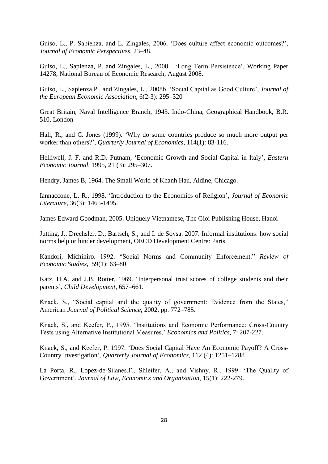Guiso, L., P. Sapienza, and L. Zingales, 2006. "Does culture affect economic outcomes?", *Journal of Economic Perspectives*, 23–48.

Guiso, L., Sapienza, P. and Zingales, L., 2008. "Long Term Persistence", Working Paper 14278, National Bureau of Economic Research, August 2008.

Guiso, L., Sapienza,P., and Zingales, L., 2008b. "Social Capital as Good Culture", *Journal of the European Economic Association*, 6(2-3): 295–320

Great Britain, Naval Intelligence Branch, 1943. Indo-China, Geographical Handbook, B.R. 510, London

Hall, R., and C. Jones (1999). "Why do some countries produce so much more output per worker than others?", *Quarterly Journal of Economics*, 114(1): 83-116.

Helliwell, J. F. and R.D. Putnam, "Economic Growth and Social Capital in Italy", *Eastern Economic Journal*, 1995, 21 (3): 295–307.

Hendry, James B, 1964. The Small World of Khanh Hau, Aldine, Chicago.

Iannaccone, L. R., 1998. "Introduction to the [Economics of Religion"](http://ideas.repec.org/a/aea/jeclit/v36y1998i3p1465-1495.html), *[Journal of Economic](http://ideas.repec.org/s/aea/jeclit.html)  [Literature](http://ideas.repec.org/s/aea/jeclit.html)*, 36(3): 1465-1495.

James Edward Goodman, 2005. Uniquely Vietnamese, The Gioi Publishing House, Hanoi

Jutting, J., Drechsler, D., Bartsch, S., and I. de Soysa. 2007. Informal institutions: how social norms help or hinder development, OECD Development Centre: Paris.

Kandori, Michihiro. 1992. "Social Norms and Community Enforcement." *Review of Economic Studies*, 59(1): 63–80

Katz, H.A. and J.B. Rotter, 1969. "Interpersonal trust scores of college students and their parents", *Child Development*, 657–661.

Knack, S., "Social capital and the quality of government: Evidence from the States," American *Journal of Political Science*, 2002, pp. 772–785.

Knack, S., and Keefer, P., 1995. "Institutions and Economic Performance: Cross-Country Tests using Alternative Institutional Measures," *Economics and Politics*, 7: 207-227.

Knack, S., and Keefer, P. 1997. "Does Social Capital Have An Economic Payoff? A Cross-Country Investigation", *Quarterly Journal of Economics*, 112 (4): 1251–1288

La Porta, R., Lopez-de-Silanes,F., Shleifer, A., and Vishny, R., 1999. "The Quality of Government", *Journal of Law, Economics and Organization*, 15(1): 222-279.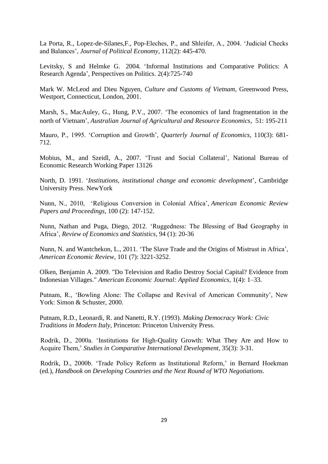La Porta, R., Lopez-de-Silanes,F., Pop-Eleches, P., and Shleifer, A., 2004. "Judicial Checks and Balances", *Journal of Political Economy,* 112(2): 445-470.

Levitsky, S and Helmke G. 2004. ["Informal Institutions and Comparative Politics: A](http://scholar.harvard.edu/levitsky/publications/informal-institutions-and-comparative-politics-research-agenda)  [Research Agenda"](http://scholar.harvard.edu/levitsky/publications/informal-institutions-and-comparative-politics-research-agenda), Perspectives on Politics. 2(4):725-740

Mark W. McLeod and Dieu Nguyen, *Culture and Customs of Vietnam*, Greenwood Press, Westport, Connecticut, London, 2001.

Marsh, S., MacAuley, G., Hung, P.V., 2007. "The economics of land fragmentation in the north of Vietnam", *Australian Journal of Agricultural and Resource Economics*, 51: 195-211

Mauro, P., 1995. "Corruption and Growth", *Quarterly Journal of Economics*, 110(3): 681- 712.

Mobius, M., and Szeidl, A., 2007. 'Trust and Social Collateral', National Bureau of Economic Research Working Paper 13126

North, D. 1991. "*Institutions, institutional change and economic development*", Cambridge University Press. NewYork

Nunn, N., 2010, "Religious Conversion in Colonial Africa", *American Economic Review Papers and Proceedings*, 100 (2): 147-152.

Nunn, Nathan and Puga, Diego, 2012. "Ruggedness: The Blessing of Bad Geography in Africa", *Review of Economics and Statistics*, 94 (1): 20-36

Nunn, N. and Wantchekon, L., 2011. "The Slave Trade and the Origins of Mistrust in Africa", *American Economic Review*, 101 (7): 3221-3252.

Olken, Benjamin A. 2009. "Do Television and Radio Destroy Social Capital? Evidence from Indonesian Villages." *American Economic Journal: Applied Economics*, 1(4): 1–33.

Putnam, R., "Bowling Alone: The Collapse and Revival of American Community", New York: Simon & Schuster, 2000.

Putnam, R.D., Leonardi, R. and Nanetti, R.Y. (1993). *Making Democracy Work: Civic Traditions in Modern Italy*, Princeton: Princeton University Press.

Rodrik, D., 2000a. "Institutions for High-Quality Growth: What They Are and How to Acquire Them," *Studies in Comparative International Development*, 35(3): 3-31.

Rodrik, D., 2000b. "Trade Policy Reform as Institutional Reform," in Bernard Hoekman (ed.), *Handbook on Developing Countries and the Next Round of WTO Negotiations.*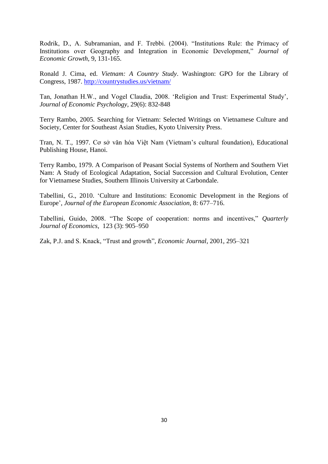Rodrik, D., A. Subramanian, and F. Trebbi. (2004). "Institutions Rule: the Primacy of Institutions over Geography and Integration in Economic Development," *Journal of Economic Growth*, 9, 131-165.

Ronald J. Cima, ed. *Vietnam: A Country Study*. Washington: GPO for the Library of Congress, 1987.<http://countrystudies.us/vietnam/>

Tan, Jonathan H.W., and Vogel Claudia, 2008. "Religion and Trust: Experimental Study", *Journal of Economic Psychology*, 29(6): 832-848

Terry Rambo, 2005. Searching for Vietnam: Selected Writings on Vietnamese Culture and Society, Center for Southeast Asian Studies, Kyoto University Press.

Tran, N. T., 1997. Cơ sở văn hóa Việt Nam (Vietnam"s cultural foundation), Educational Publishing House, Hanoi.

Terry Rambo, 1979. A Comparison of Peasant Social Systems of Northern and Southern Viet Nam: A Study of Ecological Adaptation, Social Succession and Cultural Evolution, Center for Vietnamese Studies, Southern Illinois University at Carbondale.

Tabellini, G., 2010. "Culture and Institutions: Economic Development in the Regions of Europe", *Journal of the European Economic Association*, 8: 677–716.

Tabellini, Guido, 2008. "The Scope of cooperation: norms and incentives," *Quarterly Journal of Economics*, 123 (3): 905–950

Zak, P.J. and S. Knack, "Trust and growth", *Economic Journal*, 2001, 295–321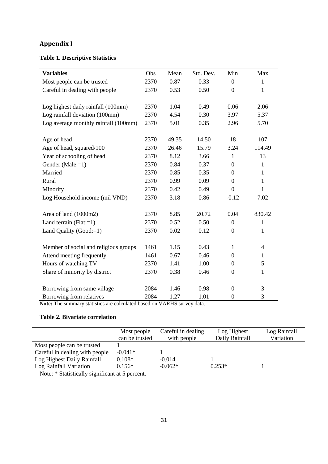# **Appendix I**

# **Table 1. Descriptive Statistics**

| <b>Variables</b>                      | Obs  | Mean  | Std. Dev. | Min              | Max            |
|---------------------------------------|------|-------|-----------|------------------|----------------|
| Most people can be trusted            | 2370 | 0.87  | 0.33      | $\boldsymbol{0}$ | 1              |
| Careful in dealing with people        | 2370 | 0.53  | 0.50      | $\boldsymbol{0}$ | $\mathbf{1}$   |
|                                       |      |       |           |                  |                |
| Log highest daily rainfall (100mm)    | 2370 | 1.04  | 0.49      | 0.06             | 2.06           |
| Log rainfall deviation (100mm)        | 2370 | 4.54  | 0.30      | 3.97             | 5.37           |
| Log average monthly rainfall (100mm)  | 2370 | 5.01  | 0.35      | 2.96             | 5.70           |
|                                       |      |       |           |                  |                |
| Age of head                           | 2370 | 49.35 | 14.50     | 18               | 107            |
| Age of head, squared/100              | 2370 | 26.46 | 15.79     | 3.24             | 114.49         |
| Year of schooling of head             | 2370 | 8.12  | 3.66      | $\mathbf{1}$     | 13             |
| Gender (Male:=1)                      | 2370 | 0.84  | 0.37      | $\boldsymbol{0}$ | 1              |
| Married                               | 2370 | 0.85  | 0.35      | $\boldsymbol{0}$ | $\mathbf{1}$   |
| Rural                                 | 2370 | 0.99  | 0.09      | $\boldsymbol{0}$ | 1              |
| Minority                              | 2370 | 0.42  | 0.49      | $\theta$         | 1              |
| Log Household income (mil VND)        | 2370 | 3.18  | 0.86      | $-0.12$          | 7.02           |
|                                       |      |       |           |                  |                |
| Area of land (1000m2)                 | 2370 | 8.85  | 20.72     | 0.04             | 830.42         |
| Land terrain $(Flat:=1)$              | 2370 | 0.52  | 0.50      | $\mathbf{0}$     | $\mathbf{1}$   |
| Land Quality (Good:=1)                | 2370 | 0.02  | 0.12      | $\boldsymbol{0}$ | 1              |
|                                       |      |       |           |                  |                |
| Member of social and religious groups | 1461 | 1.15  | 0.43      | $\mathbf{1}$     | $\overline{4}$ |
| Attend meeting frequently             | 1461 | 0.67  | 0.46      | $\boldsymbol{0}$ | 1              |
| Hours of watching TV                  | 2370 | 1.41  | 1.00      | $\Omega$         | 5              |
| Share of minority by district         | 2370 | 0.38  | 0.46      | $\boldsymbol{0}$ | $\mathbf{1}$   |
|                                       |      |       |           |                  |                |
| Borrowing from same village           | 2084 | 1.46  | 0.98      | $\mathbf{0}$     | 3              |
| Borrowing from relatives              | 2084 | 1.27  | 1.01      | $\boldsymbol{0}$ | $\mathfrak{Z}$ |

**Note:** The summary statistics are calculated based on VARHS survey data.

# **Table 2. Bivariate correlation**

|                                | Most people<br>can be trusted | Careful in dealing<br>with people | Log Highest<br>Daily Rainfall | Log Rainfall<br>Variation |
|--------------------------------|-------------------------------|-----------------------------------|-------------------------------|---------------------------|
| Most people can be trusted     |                               |                                   |                               |                           |
| Careful in dealing with people | $-0.041*$                     |                                   |                               |                           |
| Log Highest Daily Rainfall     | $0.108*$                      | $-0.014$                          |                               |                           |
| Log Rainfall Variation         | $0.156*$                      | $-0.062*$                         | $0.253*$                      |                           |

Note: \* Statistically significant at 5 percent.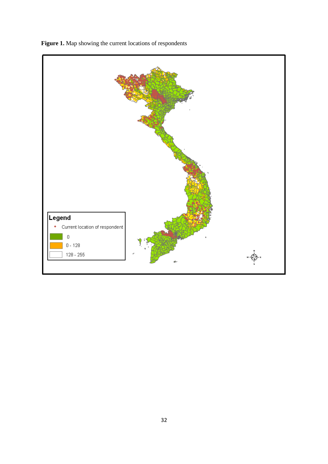

**Figure 1.** Map showing the current locations of respondents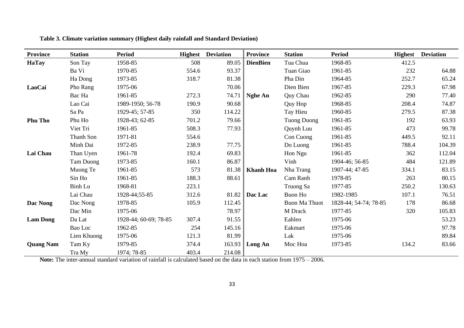| <b>Province</b>  | <b>Station</b>   | <b>Period</b>         |       | <b>Highest</b> Deviation | <b>Province</b>  | <b>Station</b>       | <b>Period</b>         | <b>Highest</b> | <b>Deviation</b> |
|------------------|------------------|-----------------------|-------|--------------------------|------------------|----------------------|-----------------------|----------------|------------------|
| <b>HaTay</b>     | Son Tay          | 1958-85               | 508   | 89.05                    | <b>DienBien</b>  | Tua Chua             | 1968-85               | 412.5          |                  |
|                  | Ba Vi            | 1970-85               | 554.6 | 93.37                    |                  | Tuan Giao            | 1961-85               | 232            | 64.88            |
|                  | Ha Dong          | 1973-85               | 318.7 | 81.38                    |                  | Pha Din              | 1964-85               | 252.7          | 65.24            |
| LaoCai           | Pho Rang         | 1975-06               |       | 70.06                    |                  | Dien Bien            | 1967-85               | 229.3          | 67.98            |
|                  | Bac Ha           | 1961-85               | 272.3 | 74.71                    | <b>Nghe An</b>   | Quy Chau             | 1962-85               | 290            | 77.40            |
|                  | Lao Cai          | 1989-1950; 56-78      | 190.9 | 90.68                    |                  | Quy Hop              | 1968-85               | 208.4          | 74.87            |
|                  | Sa Pa            | 1929-45; 57-85        | 350   | 114.22                   |                  | Tay Hieu             | 1960-85               | 279.5          | 87.38            |
| <b>Phu Tho</b>   | Phu Ho           | 1928-43; 62-85        | 701.2 | 79.66                    |                  | <b>Tuong Duong</b>   | 1961-85               | 192            | 63.93            |
|                  | Viet Tri         | 1961-85               | 508.3 | 77.93                    |                  | Quynh Luu            | 1961-85               | 473            | 99.78            |
|                  | Thanh Son        | 1971-81               | 554.6 |                          |                  | Con Cuong            | 1961-85               | 449.5          | 92.11            |
|                  | Minh Dai         | 1972-85               | 238.9 | 77.75                    |                  | Do Luong             | 1961-85               | 788.4          | 104.39           |
| Lai Chau         | Than Uyen        | 1961-78               | 192.4 | 69.83                    |                  | Hon Ngu              | 1961-85               | 362            | 112.04           |
|                  | <b>Tam Duong</b> | 1973-85               | 160.1 | 86.87                    |                  | Vinh                 | 1904-46; 56-85        | 484            | 121.89           |
|                  | Muong Te         | 1961-85               | 573   | 81.38                    | <b>Khanh Hoa</b> | Nha Trang            | 1907-44; 47-85        | 334.1          | 83.15            |
|                  | Sin Ho           | 1961-85               | 188.3 | 88.61                    |                  | Cam Ranh             | 1978-85               | 263            | 80.15            |
|                  | <b>Binh Lu</b>   | 1968-81               | 223.1 |                          |                  | Truong Sa            | 1977-85               | 250.2          | 130.63           |
|                  | Lai Chau         | 1928-44;55-85         | 312.6 | 81.82                    | Dac Lac          | Buon Ho              | 1982-1985             | 107.1          | 76.51            |
| Dac Nong         | Dac Nong         | 1978-85               | 105.9 | 112.45                   |                  | <b>Buon Ma Thuot</b> | 1828-44; 54-74; 78-85 | 178            | 86.68            |
|                  | Dac Min          | 1975-06               |       | 78.97                    |                  | M Drack              | 1977-85               | 320            | 105.83           |
| <b>Lam Dong</b>  | Da Lat           | 1928-44; 60-69; 78-85 | 307.4 | 91.55                    |                  | Eahleo               | 1975-06               |                | 53.23            |
|                  | Bao Loc          | 1962-85               | 254   | 145.16                   |                  | Eakmart              | 1975-06               |                | 97.78            |
|                  | Lien Khuong      | 1975-06               | 121.3 | 81.99                    |                  | Lak                  | 1975-06               |                | 89.84            |
| <b>Quang Nam</b> | Tam Ky           | 1979-85               | 374.4 | 163.93                   | Long An          | Moc Hoa              | 1973-85               | 134.2          | 83.66            |
|                  | Tra My           | 1974; 78-85           | 403.4 | 214.08                   |                  |                      |                       |                |                  |

**Table 3. Climate variation summary (Highest daily rainfall and Standard Deviation)**

**Note:** The inter-annual standard variation of rainfall is calculated based on the data in each station from 1975 – 2006.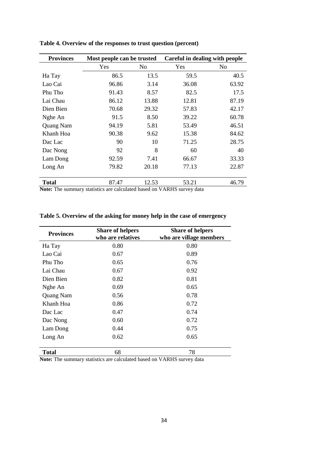| <b>Provinces</b> |       | Most people can be trusted |       | Careful in dealing with people |
|------------------|-------|----------------------------|-------|--------------------------------|
|                  | Yes   | No                         | Yes   | No                             |
| Ha Tay           | 86.5  | 13.5                       | 59.5  | 40.5                           |
| Lao Cai          | 96.86 | 3.14                       | 36.08 | 63.92                          |
| Phu Tho          | 91.43 | 8.57                       | 82.5  | 17.5                           |
| Lai Chau         | 86.12 | 13.88                      | 12.81 | 87.19                          |
| Dien Bien        | 70.68 | 29.32                      | 57.83 | 42.17                          |
| Nghe An          | 91.5  | 8.50                       | 39.22 | 60.78                          |
| Quang Nam        | 94.19 | 5.81                       | 53.49 | 46.51                          |
| Khanh Hoa        | 90.38 | 9.62                       | 15.38 | 84.62                          |
| Dac Lac          | 90    | 10                         | 71.25 | 28.75                          |
| Dac Nong         | 92    | 8                          | 60    | 40                             |
| Lam Dong         | 92.59 | 7.41                       | 66.67 | 33.33                          |
| Long An          | 79.82 | 20.18                      | 77.13 | 22.87                          |
| <b>Total</b>     | 87.47 | 12.53                      | 53.21 | 46.79                          |

**Table 4. Overview of the responses to trust question (percent)**

**Note:** The summary statistics are calculated based on VARHS survey data

| <b>Provinces</b> | <b>Share of helpers</b><br>who are relatives | <b>Share of helpers</b><br>who are village members |
|------------------|----------------------------------------------|----------------------------------------------------|
| Ha Tay           | 0.80                                         | 0.80                                               |
| Lao Cai          | 0.67                                         | 0.89                                               |
| Phu Tho          | 0.65                                         | 0.76                                               |
| Lai Chau         | 0.67                                         | 0.92                                               |
| Dien Bien        | 0.82                                         | 0.81                                               |
| Nghe An          | 0.69                                         | 0.65                                               |
| Quang Nam        | 0.56                                         | 0.78                                               |
| Khanh Hoa        | 0.86                                         | 0.72                                               |
| Dac Lac          | 0.47                                         | 0.74                                               |
| Dac Nong         | 0.60                                         | 0.72                                               |
| Lam Dong         | 0.44                                         | 0.75                                               |
| Long An          | 0.62                                         | 0.65                                               |
| <b>Total</b>     | 68                                           | 78                                                 |

**Table 5. Overview of the asking for money help in the case of emergency**

**Note:** The summary statistics are calculated based on VARHS survey data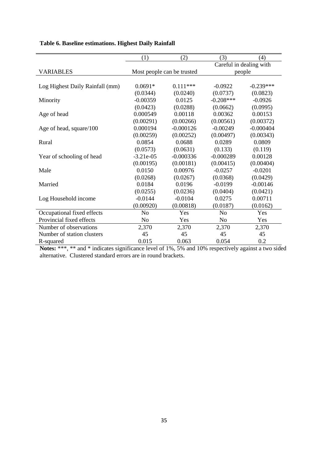|                                 | (1)                        | (2)         | (3)                               | (4)         |
|---------------------------------|----------------------------|-------------|-----------------------------------|-------------|
|                                 |                            |             |                                   |             |
| <b>VARIABLES</b>                | Most people can be trusted |             | Careful in dealing with<br>people |             |
|                                 |                            |             |                                   |             |
| Log Highest Daily Rainfall (mm) | $0.0691*$                  | $0.111***$  | $-0.0922$                         | $-0.239***$ |
|                                 | (0.0344)                   | (0.0240)    | (0.0737)                          | (0.0823)    |
| Minority                        | $-0.00359$                 | 0.0125      | $-0.208***$                       | $-0.0926$   |
|                                 | (0.0423)                   | (0.0288)    | (0.0662)                          | (0.0995)    |
| Age of head                     | 0.000549                   | 0.00118     | 0.00362                           | 0.00153     |
|                                 | (0.00291)                  | (0.00266)   | (0.00561)                         | (0.00372)   |
| Age of head, square/100         | 0.000194                   | $-0.000126$ | $-0.00249$                        | $-0.000404$ |
|                                 | (0.00259)                  | (0.00252)   | (0.00497)                         | (0.00343)   |
| Rural                           | 0.0854                     | 0.0688      | 0.0289                            | 0.0809      |
|                                 | (0.0573)                   | (0.0631)    | (0.133)                           | (0.119)     |
| Year of schooling of head       | $-3.21e-05$                | $-0.000336$ | $-0.000289$                       | 0.00128     |
|                                 | (0.00195)                  | (0.00181)   | (0.00415)                         | (0.00404)   |
| Male                            | 0.0150                     | 0.00976     | $-0.0257$                         | $-0.0201$   |
|                                 | (0.0268)                   | (0.0267)    | (0.0368)                          | (0.0429)    |
| Married                         | 0.0184                     | 0.0196      | $-0.0199$                         | $-0.00146$  |
|                                 | (0.0255)                   | (0.0236)    | (0.0404)                          | (0.0421)    |
| Log Household income            | $-0.0144$                  | $-0.0104$   | 0.0275                            | 0.00711     |
|                                 | (0.00920)                  | (0.00818)   | (0.0187)                          | (0.0162)    |
| Occupational fixed effects      | N <sub>0</sub>             | Yes         | No                                | Yes         |
| Provincial fixed effects        | N <sub>o</sub>             | Yes         | No                                | Yes         |
| Number of observations          | 2,370                      | 2,370       | 2,370                             | 2,370       |
| Number of station clusters      | 45                         | 45          | 45                                | 45          |
| R-squared                       | 0.015                      | 0.063       | 0.054                             | 0.2         |

# **Table 6. Baseline estimations. Highest Daily Rainfall**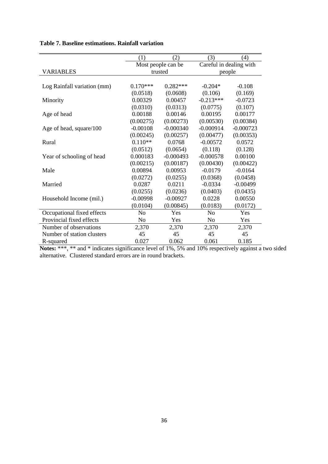|                             | (1)            | (2)                | (3)            | (4)                     |  |
|-----------------------------|----------------|--------------------|----------------|-------------------------|--|
|                             |                | Most people can be |                | Careful in dealing with |  |
| <b>VARIABLES</b>            |                | trusted            | people         |                         |  |
|                             |                |                    |                |                         |  |
| Log Rainfall variation (mm) | $0.170***$     | $0.282***$         | $-0.204*$      | $-0.108$                |  |
|                             | (0.0518)       | (0.0608)           | (0.106)        | (0.169)                 |  |
| Minority                    | 0.00329        | 0.00457            | $-0.213***$    | $-0.0723$               |  |
|                             | (0.0310)       | (0.0313)           | (0.0775)       | (0.107)                 |  |
| Age of head                 | 0.00188        | 0.00146            | 0.00195        | 0.00177                 |  |
|                             | (0.00275)      | (0.00273)          | (0.00530)      | (0.00384)               |  |
| Age of head, square/100     | $-0.00108$     | $-0.000340$        | $-0.000914$    | $-0.000723$             |  |
|                             | (0.00245)      | (0.00257)          | (0.00477)      | (0.00353)               |  |
| Rural                       | $0.110**$      | 0.0768             | $-0.00572$     | 0.0572                  |  |
|                             | (0.0512)       | (0.0654)           | (0.118)        | (0.128)                 |  |
| Year of schooling of head   | 0.000183       | $-0.000493$        | $-0.000578$    | 0.00100                 |  |
|                             | (0.00215)      | (0.00187)          | (0.00430)      | (0.00422)               |  |
| Male                        | 0.00894        | 0.00953            | $-0.0179$      | $-0.0164$               |  |
|                             | (0.0272)       | (0.0255)           | (0.0368)       | (0.0458)                |  |
| Married                     | 0.0287         | 0.0211             | $-0.0334$      | $-0.00499$              |  |
|                             | (0.0255)       | (0.0236)           | (0.0403)       | (0.0435)                |  |
| Household Income (mil.)     | $-0.00998$     | $-0.00927$         | 0.0228         | 0.00550                 |  |
|                             | (0.0104)       | (0.00845)          | (0.0183)       | (0.0172)                |  |
| Occupational fixed effects  | N <sub>o</sub> | Yes                | No             | Yes                     |  |
| Provincial fixed effects    | No             | Yes                | N <sub>o</sub> | Yes                     |  |
| Number of observations      | 2,370          | 2,370              | 2,370          | 2,370                   |  |
| Number of station clusters  | 45             | 45                 | 45             | 45                      |  |
| R-squared                   | 0.027          | 0.062              | 0.061          | 0.185                   |  |

# **Table 7. Baseline estimations. Rainfall variation**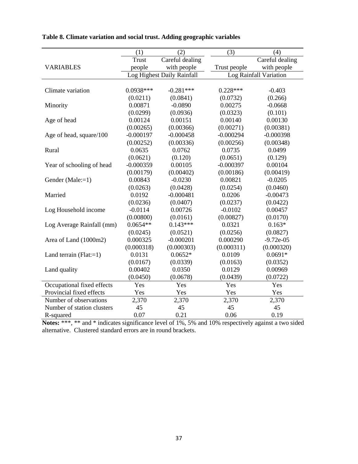|                            | (1)          | (2)                        | (3)          | (4)                    |
|----------------------------|--------------|----------------------------|--------------|------------------------|
|                            | <b>Trust</b> | Careful dealing            |              | Careful dealing        |
| <b>VARIABLES</b>           | people       | with people                | Trust people | with people            |
|                            |              | Log Highest Daily Rainfall |              | Log Rainfall Variation |
|                            |              |                            |              |                        |
| Climate variation          | 0.0938***    | $-0.281***$                | $0.228***$   | $-0.403$               |
|                            | (0.0211)     | (0.0841)                   | (0.0732)     | (0.266)                |
| Minority                   | 0.00871      | $-0.0890$                  | 0.00275      | $-0.0668$              |
|                            | (0.0299)     | (0.0936)                   | (0.0323)     | (0.101)                |
| Age of head                | 0.00124      | 0.00151                    | 0.00140      | 0.00130                |
|                            | (0.00265)    | (0.00366)                  | (0.00271)    | (0.00381)              |
| Age of head, square/100    | $-0.000197$  | $-0.000458$                | $-0.000294$  | $-0.000398$            |
|                            | (0.00252)    | (0.00336)                  | (0.00256)    | (0.00348)              |
| Rural                      | 0.0635       | 0.0762                     | 0.0735       | 0.0499                 |
|                            | (0.0621)     | (0.120)                    | (0.0651)     | (0.129)                |
| Year of schooling of head  | $-0.000359$  | 0.00105                    | $-0.000397$  | 0.00104                |
|                            | (0.00179)    | (0.00402)                  | (0.00186)    | (0.00419)              |
| Gender (Male:=1)           | 0.00843      | $-0.0230$                  | 0.00821      | $-0.0205$              |
|                            | (0.0263)     | (0.0428)                   | (0.0254)     | (0.0460)               |
| Married                    | 0.0192       | $-0.000481$                | 0.0206       | $-0.00473$             |
|                            | (0.0236)     | (0.0407)                   | (0.0237)     | (0.0422)               |
| Log Household income       | $-0.0114$    | 0.00726                    | $-0.0102$    | 0.00457                |
|                            | (0.00800)    | (0.0161)                   | (0.00827)    | (0.0170)               |
| Log Average Rainfall (mm)  | $0.0654**$   | $0.143***$                 | 0.0321       | $0.163*$               |
|                            | (0.0245)     | (0.0521)                   | (0.0256)     | (0.0827)               |
| Area of Land (1000m2)      | 0.000325     | $-0.000201$                | 0.000290     | $-9.72e-05$            |
|                            | (0.000318)   | (0.000303)                 | (0.000311)   | (0.000320)             |
| Land terrain $(Flat:=1)$   | 0.0131       | $0.0652*$                  | 0.0109       | $0.0691*$              |
|                            | (0.0167)     | (0.0339)                   | (0.0163)     | (0.0352)               |
| Land quality               | 0.00402      | 0.0350                     | 0.0129       | 0.00969                |
|                            | (0.0450)     | (0.0678)                   | (0.0439)     | (0.0722)               |
| Occupational fixed effects | Yes          | Yes                        | Yes          | Yes                    |
| Provincial fixed effects   | Yes          | Yes                        | Yes          | Yes                    |
| Number of observations     | 2,370        | 2,370                      | 2,370        | 2,370                  |
| Number of station clusters | 45           | 45                         | 45           | 45                     |
| R-squared                  | 0.07         | 0.21                       | 0.06         | 0.19                   |

**Table 8. Climate variation and social trust. Adding geographic variables**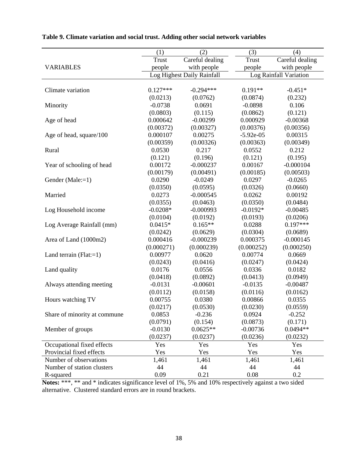|                              | (1)        | (2)                        | (3)         | (4)                    |
|------------------------------|------------|----------------------------|-------------|------------------------|
|                              | Trust      | Careful dealing            | Trust       | Careful dealing        |
| <b>VARIABLES</b>             | people     | with people                | people      | with people            |
|                              |            | Log Highest Daily Rainfall |             | Log Rainfall Variation |
|                              |            |                            |             |                        |
| Climate variation            | $0.127***$ | $-0.294***$                | $0.191**$   | $-0.451*$              |
|                              | (0.0213)   | (0.0762)                   | (0.0874)    | (0.232)                |
| Minority                     | $-0.0738$  | 0.0691                     | $-0.0898$   | 0.106                  |
|                              | (0.0803)   | (0.115)                    | (0.0862)    | (0.121)                |
| Age of head                  | 0.000642   | $-0.00299$                 | 0.000929    | $-0.00368$             |
|                              | (0.00372)  | (0.00327)                  | (0.00376)   | (0.00356)              |
| Age of head, square/100      | 0.000107   | 0.00275                    | $-5.92e-05$ | 0.00315                |
|                              | (0.00359)  | (0.00326)                  | (0.00363)   | (0.00349)              |
| Rural                        | 0.0530     | 0.217                      | 0.0552      | 0.212                  |
|                              | (0.121)    | (0.196)                    | (0.121)     | (0.195)                |
| Year of schooling of head    | 0.00172    | $-0.000237$                | 0.00167     | $-0.000104$            |
|                              | (0.00179)  | (0.00491)                  | (0.00185)   | (0.00503)              |
| Gender (Male:=1)             | 0.0290     | $-0.0249$                  | 0.0297      | $-0.0265$              |
|                              | (0.0350)   | (0.0595)                   | (0.0326)    | (0.0660)               |
| Married                      | 0.0273     | $-0.000545$                | 0.0262      | 0.00192                |
|                              | (0.0355)   | (0.0463)                   | (0.0350)    | (0.0484)               |
| Log Household income         | $-0.0208*$ | $-0.000993$                | $-0.0192*$  | $-0.00485$             |
|                              | (0.0104)   | (0.0192)                   | (0.0193)    | (0.0206)               |
| Log Average Rainfall (mm)    | $0.0415*$  | $0.165**$                  | 0.0288      | $0.197***$             |
|                              | (0.0242)   | (0.0629)                   | (0.0304)    | (0.0689)               |
| Area of Land (1000m2)        | 0.000416   | $-0.000239$                | 0.000375    | $-0.000145$            |
|                              | (0.000271) | (0.000239)                 | (0.000252)  | (0.000250)             |
| Land terrain $(Flat:=1)$     | 0.00977    | 0.0620                     | 0.00774     | 0.0669                 |
|                              | (0.0243)   | (0.0416)                   | (0.0247)    | (0.0424)               |
| Land quality                 | 0.0176     | 0.0556                     | 0.0336      | 0.0182                 |
|                              | (0.0418)   | (0.0892)                   | (0.0413)    | (0.0949)               |
| Always attending meeting     | $-0.0131$  | $-0.00601$                 | $-0.0135$   | $-0.00487$             |
|                              | (0.0112)   | (0.0158)                   | (0.0116)    | (0.0162)               |
| Hours watching TV            | 0.00755    | 0.0380                     | 0.00866     | 0.0355                 |
|                              | (0.0217)   | (0.0530)                   | (0.0230)    | (0.0559)               |
| Share of minority at commune | 0.0853     | $-0.236$                   | 0.0924      | $-0.252$               |
|                              | (0.0791)   | (0.154)                    | (0.0873)    | (0.171)                |
| Member of groups             | $-0.0130$  | $0.0625**$                 | $-0.00736$  | $0.0494**$             |
|                              | (0.0237)   | (0.0237)                   | (0.0236)    | (0.0232)               |
| Occupational fixed effects   | Yes        | Yes                        | Yes         | Yes                    |
| Provincial fixed effects     | Yes        | Yes                        | Yes         | Yes                    |
| Number of observations       | 1,461      | 1,461                      | 1,461       | 1,461                  |
| Number of station clusters   | 44         | 44                         | 44          | 44                     |
| R-squared                    | 0.09       | 0.21                       | 0.08        | 0.2                    |

|  | Table 9. Climate variation and social trust. Adding other social network variables |  |  |  |  |
|--|------------------------------------------------------------------------------------|--|--|--|--|
|  |                                                                                    |  |  |  |  |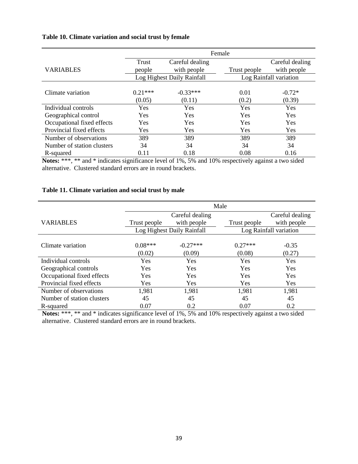# **Table 10. Climate variation and social trust by female**

|                            | Female     |                            |              |                        |  |  |
|----------------------------|------------|----------------------------|--------------|------------------------|--|--|
|                            | Trust      | Careful dealing            |              | Careful dealing        |  |  |
| <b>VARIABLES</b>           | people     | with people                | Trust people | with people            |  |  |
|                            |            | Log Highest Daily Rainfall |              | Log Rainfall variation |  |  |
|                            |            |                            |              |                        |  |  |
| Climate variation          | $0.21***$  | $-0.33***$                 | 0.01         | $-0.72*$               |  |  |
|                            | (0.05)     | (0.11)                     | (0.2)        | (0.39)                 |  |  |
| Individual controls        | Yes        | Yes                        | Yes          | Yes                    |  |  |
| Geographical control       | <b>Yes</b> | Yes                        | Yes          | <b>Yes</b>             |  |  |
| Occupational fixed effects | <b>Yes</b> | Yes                        | Yes          | Yes                    |  |  |
| Provincial fixed effects   | <b>Yes</b> | Yes                        | Yes          | Yes                    |  |  |
| Number of observations     | 389        | 389                        | 389          | 389                    |  |  |
| Number of station clusters | 34         | 34                         | 34           | 34                     |  |  |
| R-squared                  | 0.11       | 0.18                       | 0.08         | 0.16                   |  |  |

**Notes:** \*\*\*, \*\* and \* indicates significance level of 1%, 5% and 10% respectively against a two sided alternative. Clustered standard errors are in round brackets.

# **Table 11. Climate variation and social trust by male**

|                            | Male         |                            |              |                        |  |  |  |
|----------------------------|--------------|----------------------------|--------------|------------------------|--|--|--|
|                            |              | Careful dealing            |              | Careful dealing        |  |  |  |
| <b>VARIABLES</b>           | Trust people | with people                | Trust people | with people            |  |  |  |
|                            |              | Log Highest Daily Rainfall |              | Log Rainfall variation |  |  |  |
|                            |              |                            |              |                        |  |  |  |
| Climate variation          | $0.08***$    | $-0.27***$                 | $0.27***$    | $-0.35$                |  |  |  |
|                            | (0.02)       | (0.09)                     | (0.08)       | (0.27)                 |  |  |  |
| Individual controls        | Yes          | Yes                        | Yes          | Yes                    |  |  |  |
| Geographical controls      | Yes          | Yes                        | Yes          | <b>Yes</b>             |  |  |  |
| Occupational fixed effects | Yes          | Yes                        | Yes          | Yes                    |  |  |  |
| Provincial fixed effects   | <b>Yes</b>   | Yes                        | Yes          | <b>Yes</b>             |  |  |  |
| Number of observations     | 1,981        | 1,981                      | 1,981        | 1,981                  |  |  |  |
| Number of station clusters | 45           | 45                         | 45           | 45                     |  |  |  |
| R-squared                  | 0.07         | 0.2                        | 0.07         | 0.2                    |  |  |  |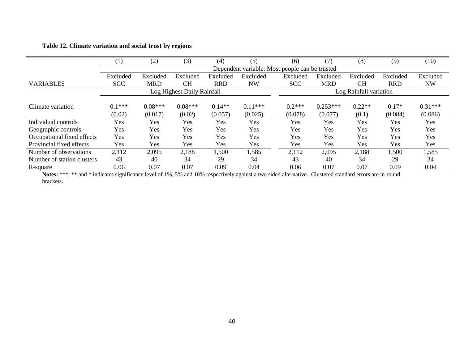# **Table 12. Climate variation and social trust by regions**

|                            | $\left(1\right)$ | (2)        | (3)                        | (4)        | (5)                                            | (6)        | (7)        | (8)                    | (9)        | (10)      |
|----------------------------|------------------|------------|----------------------------|------------|------------------------------------------------|------------|------------|------------------------|------------|-----------|
|                            |                  |            |                            |            | Dependent variable: Most people can be trusted |            |            |                        |            |           |
|                            | Excluded         | Excluded   | Excluded                   | Excluded   | Excluded                                       | Excluded   | Excluded   | Excluded               | Excluded   | Excluded  |
| <b>VARIABLES</b>           | <b>SCC</b>       | <b>MRD</b> | <b>CH</b>                  | <b>RRD</b> | <b>NW</b>                                      | <b>SCC</b> | <b>MRD</b> | <b>CH</b>              | <b>RRD</b> | <b>NW</b> |
|                            |                  |            | Log Highest Daily Rainfall |            |                                                |            |            | Log Rainfall variation |            |           |
|                            |                  |            |                            |            |                                                |            |            |                        |            |           |
| Climate variation          | $0.1***$         | $0.08***$  | $0.08***$                  | $0.14**$   | $0.11***$                                      | $0.2***$   | $0.253***$ | $0.22**$               | $0.17*$    | $0.31***$ |
|                            | (0.02)           | (0.017)    | (0.02)                     | (0.057)    | (0.025)                                        | (0.078)    | (0.077)    | (0.1)                  | (0.084)    | (0.086)   |
| Individual controls        | Yes              | Yes        | Yes                        | Yes        | Yes                                            | Yes        | Yes        | Yes                    | Yes        | Yes       |
| Geographic controls        | Yes              | Yes        | Yes                        | Yes        | Yes                                            | Yes        | Yes        | Yes                    | Yes        | Yes       |
| Occupational fixed effects | Yes              | Yes        | Yes                        | Yes        | Yes                                            | Yes        | Yes        | Yes                    | Yes        | Yes       |
| Provincial fixed effects   | Yes              | <b>Yes</b> | Yes                        | Yes        | Yes                                            | Yes        | Yes        | Yes                    | Yes        | Yes       |
| Number of observations     | 2,112            | 2,095      | 2,188                      | 1,500      | 1,585                                          | 2,112      | 2,095      | 2,188                  | 1,500      | 1,585     |
| Number of station clusters | 43               | 40         | 34                         | 29         | 34                                             | 43         | 40         | 34                     | 29         | 34        |
| R-square                   | 0.06             | 0.07       | 0.07                       | 0.09       | 0.04                                           | 0.06       | 0.07       | 0.07                   | 0.09       | 0.04      |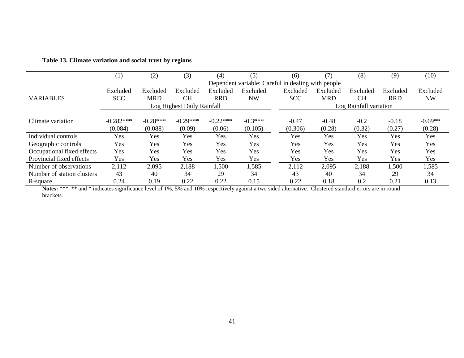|                            | (1)         | (2)        | (3)                        | (4)        | (5)                                                | (6)        | $\mathcal{T}$ | (8)                    | (9)        | (10)      |
|----------------------------|-------------|------------|----------------------------|------------|----------------------------------------------------|------------|---------------|------------------------|------------|-----------|
|                            |             |            |                            |            | Dependent variable: Careful in dealing with people |            |               |                        |            |           |
|                            | Excluded    | Excluded   | Excluded                   | Excluded   | Excluded                                           | Excluded   | Excluded      | Excluded               | Excluded   | Excluded  |
| <b>VARIABLES</b>           | <b>SCC</b>  | <b>MRD</b> | <b>CH</b>                  | <b>RRD</b> | <b>NW</b>                                          | <b>SCC</b> | <b>MRD</b>    | <b>CH</b>              | <b>RRD</b> | <b>NW</b> |
|                            |             |            | Log Highest Daily Rainfall |            |                                                    |            |               | Log Rainfall variation |            |           |
|                            |             |            |                            |            |                                                    |            |               |                        |            |           |
| Climate variation          | $-0.282***$ | $-0.28***$ | $-0.29***$                 | $-0.22***$ | $-0.3***$                                          | $-0.47$    | $-0.48$       | $-0.2$                 | $-0.18$    | $-0.69**$ |
|                            | (0.084)     | (0.088)    | (0.09)                     | (0.06)     | (0.105)                                            | (0.306)    | (0.28)        | (0.32)                 | (0.27)     | (0.28)    |
| Individual controls        | Yes         | Yes        | Yes                        | Yes        | Yes                                                | Yes        | Yes           | Yes                    | Yes        | Yes       |
| Geographic controls        | Yes         | Yes        | Yes                        | Yes        | Yes                                                | <b>Yes</b> | Yes           | Yes                    | Yes        | Yes       |
| Occupational fixed effects | Yes         | Yes        | Yes                        | Yes        | Yes                                                | Yes        | Yes           | Yes                    | Yes        | Yes       |
| Provincial fixed effects   | Yes         | Yes        | Yes                        | Yes        | Yes                                                | Yes        | Yes           | Yes                    | Yes        | Yes       |
| Number of observations     | 2,112       | 2,095      | 2,188                      | 1,500      | 1,585                                              | 2,112      | 2,095         | 2,188                  | 1,500      | 1,585     |
| Number of station clusters | 43          | 40         | 34                         | 29         | 34                                                 | 43         | 40            | 34                     | 29         | 34        |
| R-square                   | 0.24        | 0.19       | 0.22                       | 0.22       | 0.15                                               | 0.22       | 0.18          | 0.2                    | 0.21       | 0.13      |

### **Table 13. Climate variation and social trust by regions**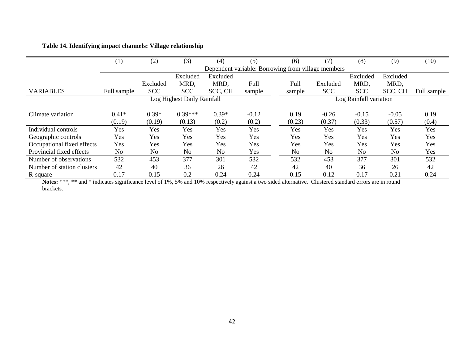# **Table 14. Identifying impact channels: Village relationship**

|                            | (1)         | (2)        | (3)                        | (4)            | (5)     | (6)    | 7                                                  | (8)                    | (9)            | (10)        |
|----------------------------|-------------|------------|----------------------------|----------------|---------|--------|----------------------------------------------------|------------------------|----------------|-------------|
|                            |             |            |                            |                |         |        | Dependent variable: Borrowing from village members |                        |                |             |
|                            |             |            | Excluded                   | Excluded       |         |        |                                                    | Excluded               | Excluded       |             |
|                            |             | Excluded   | MRD,                       | MRD.           | Full    | Full   | Excluded                                           | MRD.                   | MRD,           |             |
| <b>VARIABLES</b>           | Full sample | <b>SCC</b> | <b>SCC</b>                 | SCC, CH        | sample  | sample | <b>SCC</b>                                         | <b>SCC</b>             | SCC, CH        | Full sample |
|                            |             |            | Log Highest Daily Rainfall |                |         |        |                                                    | Log Rainfall variation |                |             |
|                            |             |            |                            |                |         |        |                                                    |                        |                |             |
| Climate variation          | $0.41*$     | $0.39*$    | $0.39***$                  | $0.39*$        | $-0.12$ | 0.19   | $-0.26$                                            | $-0.15$                | $-0.05$        | 0.19        |
|                            | (0.19)      | (0.19)     | (0.13)                     | (0.2)          | (0.2)   | (0.23) | (0.37)                                             | (0.33)                 | (0.57)         | (0.4)       |
| Individual controls        | Yes         | Yes        | Yes                        | Yes            | Yes     | Yes    | Yes                                                | Yes                    | Yes            | Yes         |
| Geographic controls        | Yes         | Yes        | Yes                        | Yes            | Yes     | Yes    | Yes                                                | Yes                    | Yes            | Yes         |
| Occupational fixed effects | Yes         | Yes        | Yes                        | Yes            | Yes     | Yes    | Yes                                                | Yes                    | Yes            | Yes         |
| Provincial fixed effects   | No          | No         | N <sub>o</sub>             | N <sub>0</sub> | Yes     | No     | N <sub>o</sub>                                     | No                     | N <sub>0</sub> | Yes         |
| Number of observations     | 532         | 453        | 377                        | 301            | 532     | 532    | 453                                                | 377                    | 301            | 532         |
| Number of station clusters | 42          | 40         | 36                         | 26             | 42      | 42     | 40                                                 | 36                     | 26             | 42          |
| R-square                   | 0.17        | 0.15       | 0.2                        | 0.24           | 0.24    | 0.15   | 0.12                                               | 0.17                   | 0.21           | 0.24        |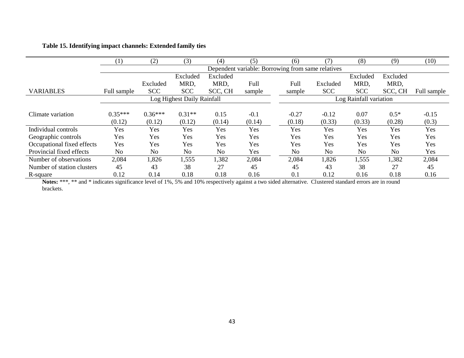# **Table 15. Identifying impact channels: Extended family ties**

|                            | (1)            | (2)        | (3)                        | (4)            | (5)                                               | (6)            | (7`            | (8)                    | (9)            | (10)        |
|----------------------------|----------------|------------|----------------------------|----------------|---------------------------------------------------|----------------|----------------|------------------------|----------------|-------------|
|                            |                |            |                            |                | Dependent variable: Borrowing from same relatives |                |                |                        |                |             |
|                            |                |            | Excluded                   | Excluded       |                                                   |                |                | Excluded               | Excluded       |             |
|                            |                | Excluded   | MRD,                       | MRD,           | Full                                              | Full           | Excluded       | MRD,                   | MRD,           |             |
| <b>VARIABLES</b>           | Full sample    | <b>SCC</b> | <b>SCC</b>                 | SCC, CH        | sample                                            | sample         | <b>SCC</b>     | <b>SCC</b>             | SCC, CH        | Full sample |
|                            |                |            | Log Highest Daily Rainfall |                |                                                   |                |                | Log Rainfall variation |                |             |
|                            |                |            |                            |                |                                                   |                |                |                        |                |             |
| Climate variation          | $0.35***$      | $0.36***$  | $0.31**$                   | 0.15           | $-0.1$                                            | $-0.27$        | $-0.12$        | 0.07                   | $0.5*$         | $-0.15$     |
|                            | (0.12)         | (0.12)     | (0.12)                     | (0.14)         | (0.14)                                            | (0.18)         | (0.33)         | (0.33)                 | (0.28)         | (0.3)       |
| Individual controls        | Yes            | <b>Yes</b> | Yes                        | Yes            | Yes                                               | Yes            | Yes            | Yes                    | Yes            | Yes         |
| Geographic controls        | Yes            | Yes        | Yes                        | Yes            | Yes                                               | Yes            | Yes            | Yes                    | Yes            | Yes         |
| Occupational fixed effects | Yes            | Yes        | Yes                        | Yes            | Yes                                               | Yes            | Yes            | Yes                    | Yes            | Yes         |
| Provincial fixed effects   | N <sub>o</sub> | No         | No                         | N <sub>0</sub> | Yes                                               | N <sub>0</sub> | N <sub>0</sub> | N <sub>0</sub>         | N <sub>0</sub> | Yes         |
| Number of observations     | 2,084          | 1,826      | 1,555                      | 1,382          | 2,084                                             | 2,084          | 1,826          | 1,555                  | 1,382          | 2,084       |
| Number of station clusters | 45             | 43         | 38                         | 27             | 45                                                | 45             | 43             | 38                     | 27             | 45          |
| R-square                   | 0.12           | 0.14       | 0.18                       | 0.18           | 0.16                                              | 0.1            | 0.12           | 0.16                   | 0.18           | 0.16        |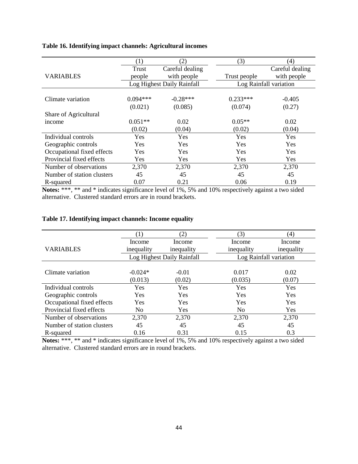|                            | (1)        | (2)                        | (3)          | (4)                    |
|----------------------------|------------|----------------------------|--------------|------------------------|
|                            | Trust      | Careful dealing            |              | Careful dealing        |
| <b>VARIABLES</b>           | people     | with people                | Trust people | with people            |
|                            |            | Log Highest Daily Rainfall |              | Log Rainfall variation |
|                            |            |                            |              |                        |
| Climate variation          | $0.094***$ | $-0.28***$                 | $0.233***$   | $-0.405$               |
|                            | (0.021)    | (0.085)                    | (0.074)      | (0.27)                 |
| Share of Agricultural      |            |                            |              |                        |
| income                     | $0.051**$  | 0.02                       | $0.05**$     | 0.02                   |
|                            | (0.02)     | (0.04)                     | (0.02)       | (0.04)                 |
| Individual controls        | Yes        | Yes                        | Yes          | Yes                    |
| Geographic controls        | <b>Yes</b> | <b>Yes</b>                 | Yes          | <b>Yes</b>             |
| Occupational fixed effects | Yes        | Yes                        | Yes          | <b>Yes</b>             |
| Provincial fixed effects   | Yes        | Yes                        | Yes          | Yes                    |
| Number of observations     | 2,370      | 2,370                      | 2,370        | 2,370                  |
| Number of station clusters | 45         | 45                         | 45           | 45                     |
| R-squared                  | 0.07       | 0.21                       | 0.06         | 0.19                   |

# **Table 16. Identifying impact channels: Agricultural incomes**

**Notes:** \*\*\*, \*\* and \* indicates significance level of 1%, 5% and 10% respectively against a two sided alternative. Clustered standard errors are in round brackets.

|  |  | Table 17. Identifying impact channels: Income equality |  |  |  |  |
|--|--|--------------------------------------------------------|--|--|--|--|
|--|--|--------------------------------------------------------|--|--|--|--|

|                            | $\left(1\right)$ | (2)                        | (3)                    | (4)        |
|----------------------------|------------------|----------------------------|------------------------|------------|
|                            | Income           | Income                     | Income                 | Income     |
| <b>VARIABLES</b>           | inequality       | inequality                 | inequality             | inequality |
|                            |                  | Log Highest Daily Rainfall | Log Rainfall variation |            |
|                            |                  |                            |                        |            |
| Climate variation          | $-0.024*$        | $-0.01$                    | 0.017                  | 0.02       |
|                            | (0.013)          | (0.02)                     | (0.035)                | (0.07)     |
| Individual controls        | <b>Yes</b>       | Yes                        | Yes                    | Yes        |
| Geographic controls        | <b>Yes</b>       | Yes                        | Yes                    | Yes        |
| Occupational fixed effects | Yes              | Yes                        | Yes                    | Yes        |
| Provincial fixed effects   | No               | Yes                        | N <sub>0</sub>         | Yes        |
| Number of observations     | 2,370            | 2,370                      | 2,370                  | 2,370      |
| Number of station clusters | 45               | 45                         | 45                     | 45         |
| R-squared                  | 0.16             | 0.31                       | 0.15                   | 0.3        |